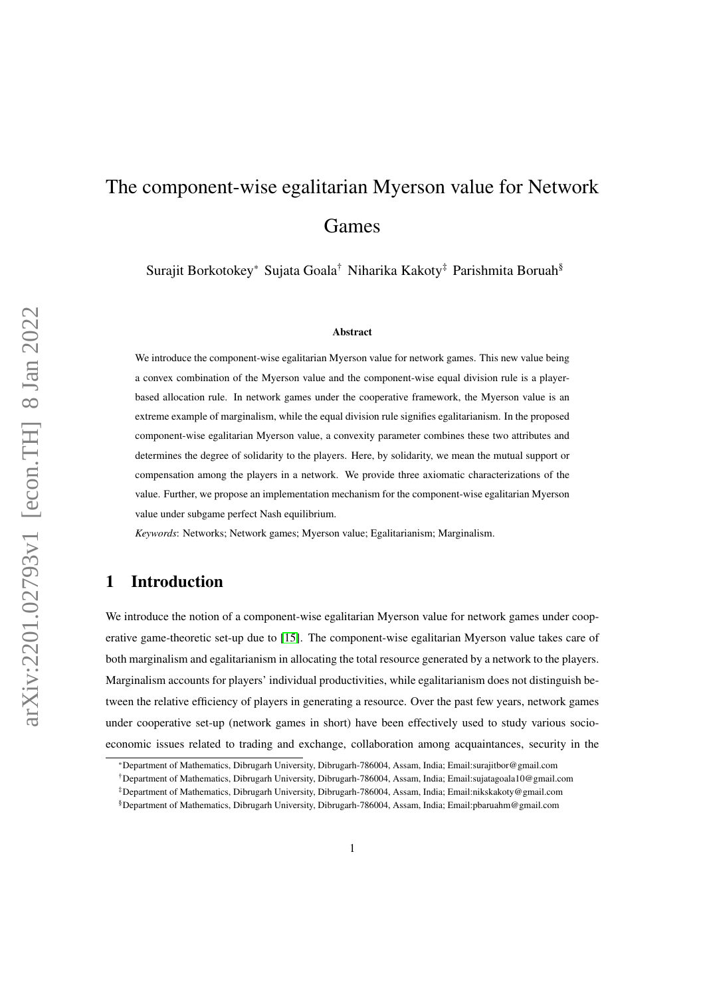# <span id="page-0-0"></span>The component-wise egalitarian Myerson value for Network Games

Surajit Borkotokey\* Sujata Goala† Niharika Kakoty‡ Parishmita Boruah§

#### Abstract

We introduce the component-wise egalitarian Myerson value for network games. This new value being a convex combination of the Myerson value and the component-wise equal division rule is a playerbased allocation rule. In network games under the cooperative framework, the Myerson value is an extreme example of marginalism, while the equal division rule signifies egalitarianism. In the proposed component-wise egalitarian Myerson value, a convexity parameter combines these two attributes and determines the degree of solidarity to the players. Here, by solidarity, we mean the mutual support or compensation among the players in a network. We provide three axiomatic characterizations of the value. Further, we propose an implementation mechanism for the component-wise egalitarian Myerson value under subgame perfect Nash equilibrium.

*Keywords*: Networks; Network games; Myerson value; Egalitarianism; Marginalism.

## 1 Introduction

We introduce the notion of a component-wise egalitarian Myerson value for network games under cooperative game-theoretic set-up due to [\[15\]](#page-35-0). The component-wise egalitarian Myerson value takes care of both marginalism and egalitarianism in allocating the total resource generated by a network to the players. Marginalism accounts for players' individual productivities, while egalitarianism does not distinguish between the relative efficiency of players in generating a resource. Over the past few years, network games under cooperative set-up (network games in short) have been effectively used to study various socioeconomic issues related to trading and exchange, collaboration among acquaintances, security in the

<sup>\*</sup>Department of Mathematics, Dibrugarh University, Dibrugarh-786004, Assam, India; Email:surajitbor@gmail.com

<sup>†</sup>Department of Mathematics, Dibrugarh University, Dibrugarh-786004, Assam, India; Email:sujatagoala10@gmail.com

<sup>‡</sup>Department of Mathematics, Dibrugarh University, Dibrugarh-786004, Assam, India; Email:nikskakoty@gmail.com

<sup>§</sup>Department of Mathematics, Dibrugarh University, Dibrugarh-786004, Assam, India; Email:pbaruahm@gmail.com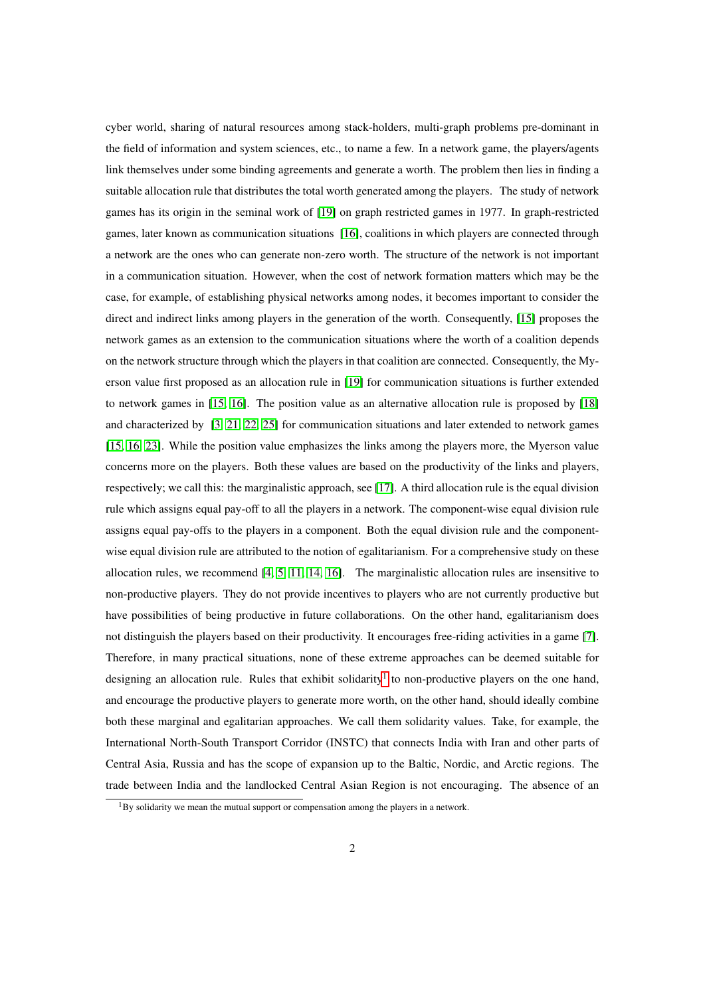cyber world, sharing of natural resources among stack-holders, multi-graph problems pre-dominant in the field of information and system sciences, etc., to name a few. In a network game, the players/agents link themselves under some binding agreements and generate a worth. The problem then lies in finding a suitable allocation rule that distributes the total worth generated among the players. The study of network games has its origin in the seminal work of [\[19\]](#page-35-1) on graph restricted games in 1977. In graph-restricted games, later known as communication situations [\[16\]](#page-35-2), coalitions in which players are connected through a network are the ones who can generate non-zero worth. The structure of the network is not important in a communication situation. However, when the cost of network formation matters which may be the case, for example, of establishing physical networks among nodes, it becomes important to consider the direct and indirect links among players in the generation of the worth. Consequently, [\[15\]](#page-35-0) proposes the network games as an extension to the communication situations where the worth of a coalition depends on the network structure through which the players in that coalition are connected. Consequently, the Myerson value first proposed as an allocation rule in [\[19\]](#page-35-1) for communication situations is further extended to network games in [\[15,](#page-35-0) [16\]](#page-35-2). The position value as an alternative allocation rule is proposed by [\[18\]](#page-35-3) and characterized by [\[3,](#page-34-0) [21,](#page-35-4) [22,](#page-36-0) [25\]](#page-36-1) for communication situations and later extended to network games [\[15,](#page-35-0) [16,](#page-35-2) [23\]](#page-36-2). While the position value emphasizes the links among the players more, the Myerson value concerns more on the players. Both these values are based on the productivity of the links and players, respectively; we call this: the marginalistic approach, see [\[17\]](#page-35-5). A third allocation rule is the equal division rule which assigns equal pay-off to all the players in a network. The component-wise equal division rule assigns equal pay-offs to the players in a component. Both the equal division rule and the componentwise equal division rule are attributed to the notion of egalitarianism. For a comprehensive study on these allocation rules, we recommend [\[4,](#page-34-1) [5,](#page-34-2) [11,](#page-35-6) [14,](#page-35-7) [16\]](#page-35-2). The marginalistic allocation rules are insensitive to non-productive players. They do not provide incentives to players who are not currently productive but have possibilities of being productive in future collaborations. On the other hand, egalitarianism does not distinguish the players based on their productivity. It encourages free-riding activities in a game [\[7\]](#page-34-3). Therefore, in many practical situations, none of these extreme approaches can be deemed suitable for designing an allocation rule. Rules that exhibit solidarity<sup>[1](#page-1-0)</sup> to non-productive players on the one hand, and encourage the productive players to generate more worth, on the other hand, should ideally combine both these marginal and egalitarian approaches. We call them solidarity values. Take, for example, the International North-South Transport Corridor (INSTC) that connects India with Iran and other parts of Central Asia, Russia and has the scope of expansion up to the Baltic, Nordic, and Arctic regions. The trade between India and the landlocked Central Asian Region is not encouraging. The absence of an

<span id="page-1-0"></span><sup>&</sup>lt;sup>1</sup>By solidarity we mean the mutual support or compensation among the players in a network.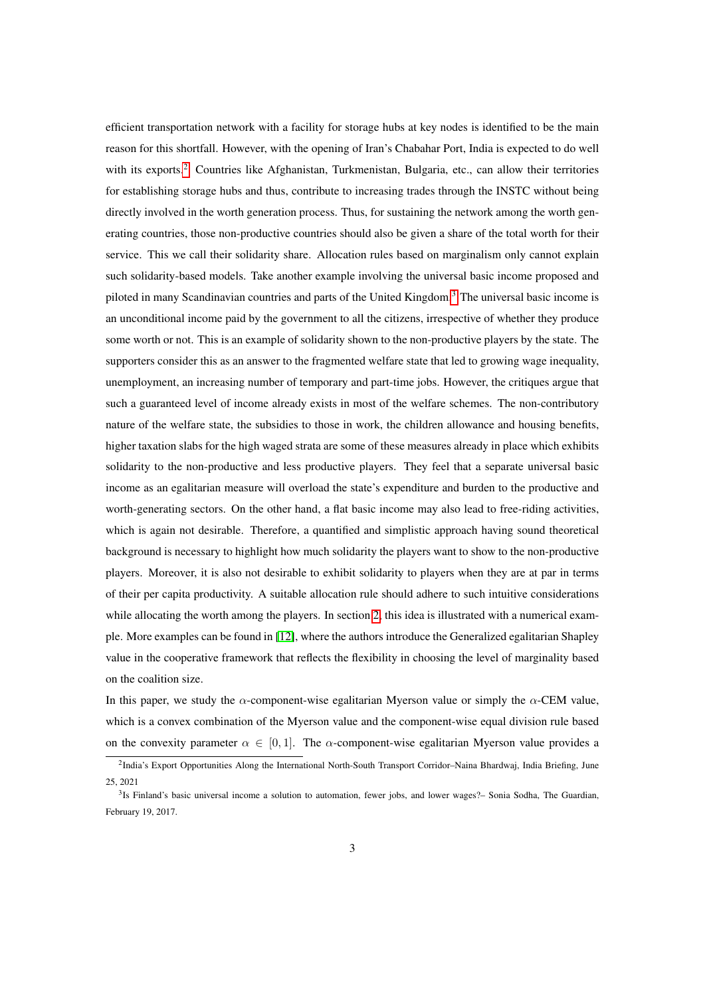efficient transportation network with a facility for storage hubs at key nodes is identified to be the main reason for this shortfall. However, with the opening of Iran's Chabahar Port, India is expected to do well with its exports.<sup>[2](#page-2-0)</sup> Countries like Afghanistan, Turkmenistan, Bulgaria, etc., can allow their territories for establishing storage hubs and thus, contribute to increasing trades through the INSTC without being directly involved in the worth generation process. Thus, for sustaining the network among the worth generating countries, those non-productive countries should also be given a share of the total worth for their service. This we call their solidarity share. Allocation rules based on marginalism only cannot explain such solidarity-based models. Take another example involving the universal basic income proposed and piloted in many Scandinavian countries and parts of the United Kingdom.[3](#page-2-1) The universal basic income is an unconditional income paid by the government to all the citizens, irrespective of whether they produce some worth or not. This is an example of solidarity shown to the non-productive players by the state. The supporters consider this as an answer to the fragmented welfare state that led to growing wage inequality, unemployment, an increasing number of temporary and part-time jobs. However, the critiques argue that such a guaranteed level of income already exists in most of the welfare schemes. The non-contributory nature of the welfare state, the subsidies to those in work, the children allowance and housing benefits, higher taxation slabs for the high waged strata are some of these measures already in place which exhibits solidarity to the non-productive and less productive players. They feel that a separate universal basic income as an egalitarian measure will overload the state's expenditure and burden to the productive and worth-generating sectors. On the other hand, a flat basic income may also lead to free-riding activities, which is again not desirable. Therefore, a quantified and simplistic approach having sound theoretical background is necessary to highlight how much solidarity the players want to show to the non-productive players. Moreover, it is also not desirable to exhibit solidarity to players when they are at par in terms of their per capita productivity. A suitable allocation rule should adhere to such intuitive considerations while allocating the worth among the players. In section [2,](#page-3-0) this idea is illustrated with a numerical example. More examples can be found in [\[12\]](#page-35-8), where the authors introduce the Generalized egalitarian Shapley value in the cooperative framework that reflects the flexibility in choosing the level of marginality based on the coalition size.

In this paper, we study the  $\alpha$ -component-wise egalitarian Myerson value or simply the  $\alpha$ -CEM value, which is a convex combination of the Myerson value and the component-wise equal division rule based on the convexity parameter  $\alpha \in [0, 1]$ . The  $\alpha$ -component-wise egalitarian Myerson value provides a

<span id="page-2-0"></span><sup>2</sup> India's Export Opportunities Along the International North-South Transport Corridor–Naina Bhardwaj, India Briefing, June 25, 2021

<span id="page-2-1"></span><sup>&</sup>lt;sup>3</sup>Is Finland's basic universal income a solution to automation, fewer jobs, and lower wages? Sonia Sodha, The Guardian, February 19, 2017.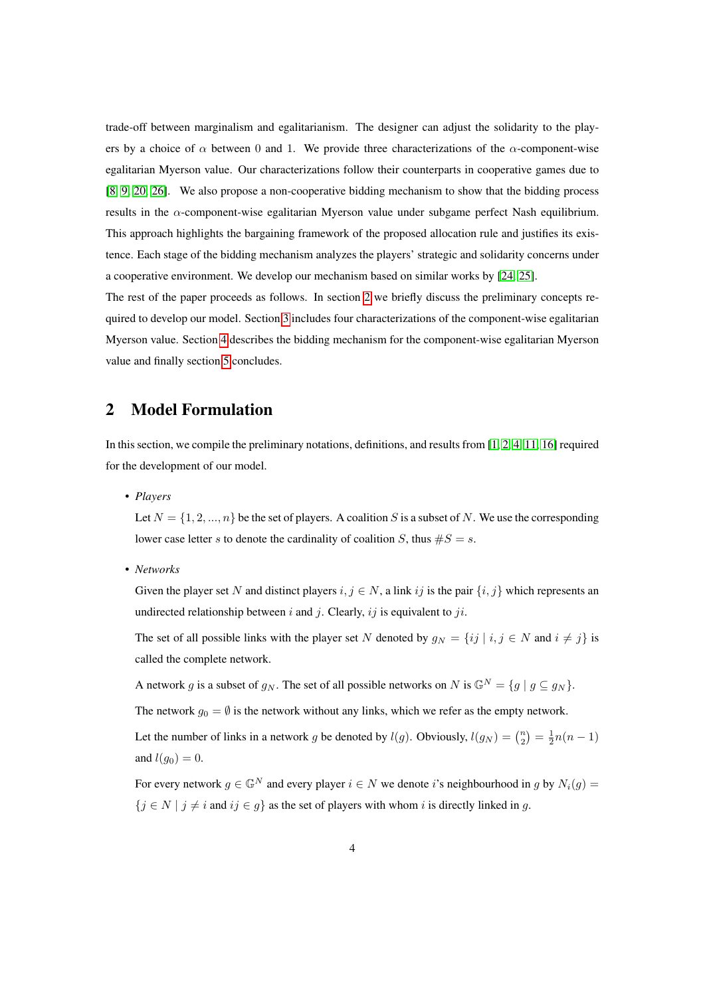trade-off between marginalism and egalitarianism. The designer can adjust the solidarity to the players by a choice of  $\alpha$  between 0 and 1. We provide three characterizations of the  $\alpha$ -component-wise egalitarian Myerson value. Our characterizations follow their counterparts in cooperative games due to [\[8,](#page-35-9) [9,](#page-35-10) [20,](#page-35-11) [26\]](#page-36-3). We also propose a non-cooperative bidding mechanism to show that the bidding process results in the  $\alpha$ -component-wise egalitarian Myerson value under subgame perfect Nash equilibrium. This approach highlights the bargaining framework of the proposed allocation rule and justifies its existence. Each stage of the bidding mechanism analyzes the players' strategic and solidarity concerns under a cooperative environment. We develop our mechanism based on similar works by [\[24,](#page-36-4) [25\]](#page-36-1).

The rest of the paper proceeds as follows. In section [2](#page-3-0) we briefly discuss the preliminary concepts re-quired to develop our model. Section [3](#page-10-0) includes four characterizations of the component-wise egalitarian Myerson value. Section [4](#page-23-0) describes the bidding mechanism for the component-wise egalitarian Myerson value and finally section [5](#page-33-0) concludes.

## <span id="page-3-0"></span>2 Model Formulation

In this section, we compile the preliminary notations, definitions, and results from [\[1,](#page-34-4) [2,](#page-34-5) [4,](#page-34-1) [11,](#page-35-6) [16\]](#page-35-2) required for the development of our model.

• *Players*

Let  $N = \{1, 2, ..., n\}$  be the set of players. A coalition S is a subset of N. We use the corresponding lower case letter s to denote the cardinality of coalition S, thus  $#S = s$ .

• *Networks*

Given the player set N and distinct players  $i, j \in N$ , a link ij is the pair  $\{i, j\}$  which represents an undirected relationship between i and j. Clearly, ij is equivalent to ji.

The set of all possible links with the player set N denoted by  $g_N = \{ij \mid i, j \in N \text{ and } i \neq j\}$  is called the complete network.

A network g is a subset of  $g_N$ . The set of all possible networks on N is  $\mathbb{G}^N = \{g \mid g \subseteq g_N\}.$ 

The network  $g_0 = \emptyset$  is the network without any links, which we refer as the empty network.

Let the number of links in a network g be denoted by  $l(g)$ . Obviously,  $l(g_N) = \binom{n}{2} = \frac{1}{2}n(n-1)$ and  $l(q_0) = 0$ .

For every network  $q \in \mathbb{G}^N$  and every player  $i \in N$  we denote i's neighbourhood in q by  $N_i(q)$  ${j \in N \mid j \neq i \text{ and } ij \in g}$  as the set of players with whom i is directly linked in g.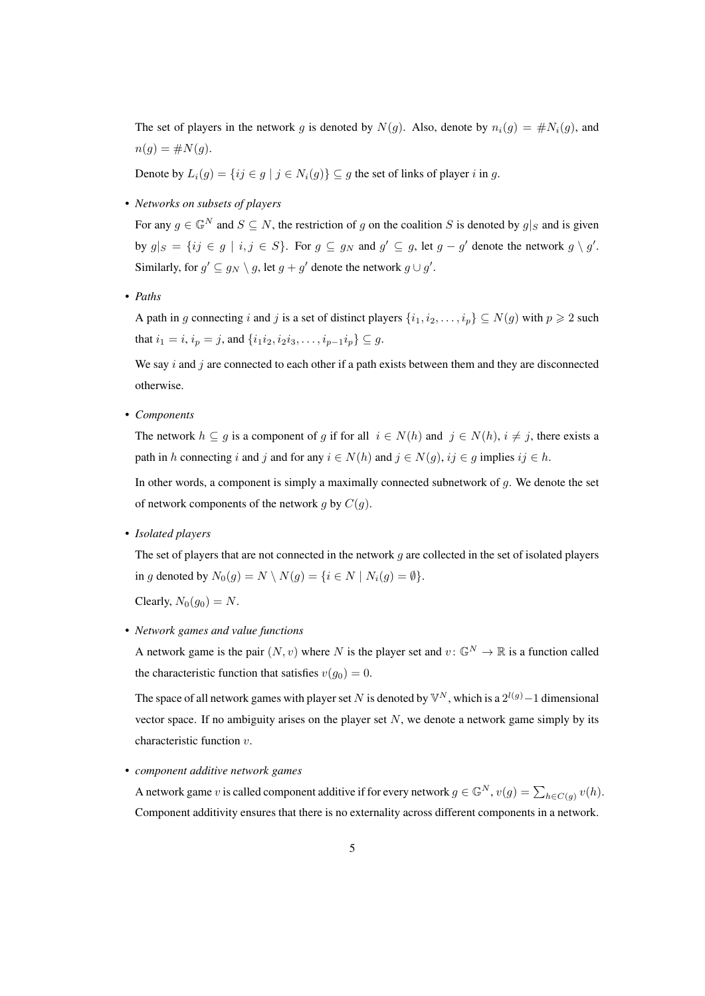The set of players in the network g is denoted by  $N(g)$ . Also, denote by  $n_i(g) = \#N_i(g)$ , and  $n(g) = \#N(g).$ 

Denote by  $L_i(g) = \{ij \in g \mid j \in N_i(g)\} \subseteq g$  the set of links of player i in g.

• *Networks on subsets of players*

For any  $g \in \mathbb{G}^N$  and  $S \subseteq N$ , the restriction of g on the coalition S is denoted by  $g|_S$  and is given by  $g|_S = \{ij \in g \mid i, j \in S\}$ . For  $g \subseteq g_N$  and  $g' \subseteq g$ , let  $g - g'$  denote the network  $g \setminus g'$ . Similarly, for  $g' \subseteq g_N \setminus g$ , let  $g + g'$  denote the network  $g \cup g'$ .

• *Paths*

A path in g connecting i and j is a set of distinct players  $\{i_1, i_2, \ldots, i_p\} \subseteq N(g)$  with  $p \ge 2$  such that  $i_1 = i$ ,  $i_p = j$ , and  $\{i_1 i_2, i_2 i_3, \ldots, i_{p-1} i_p\} \subseteq g$ .

We say  $i$  and  $j$  are connected to each other if a path exists between them and they are disconnected otherwise.

• *Components*

The network  $h \subseteq g$  is a component of g if for all  $i \in N(h)$  and  $j \in N(h)$ ,  $i \neq j$ , there exists a path in h connecting i and j and for any  $i \in N(h)$  and  $j \in N(g)$ ,  $ij \in g$  implies  $ij \in h$ .

In other words, a component is simply a maximally connected subnetwork of  $g$ . We denote the set of network components of the network g by  $C(g)$ .

• *Isolated players*

The set of players that are not connected in the network  $g$  are collected in the set of isolated players in g denoted by  $N_0(g) = N \setminus N(g) = \{i \in N \mid N_i(g) = \emptyset\}.$ 

Clearly,  $N_0(q_0) = N$ .

• *Network games and value functions*

A network game is the pair  $(N, v)$  where N is the player set and  $v : \mathbb{G}^N \to \mathbb{R}$  is a function called the characteristic function that satisfies  $v(g_0) = 0$ .

The space of all network games with player set N is denoted by  $\mathbb{V}^N$ , which is a  $2^{l(g)} - 1$  dimensional vector space. If no ambiguity arises on the player set  $N$ , we denote a network game simply by its characteristic function v.

• *component additive network games*

A network game v is called component additive if for every network  $g \in \mathbb{G}^N$ ,  $v(g) = \sum_{h \in C(g)} v(h)$ . Component additivity ensures that there is no externality across different components in a network.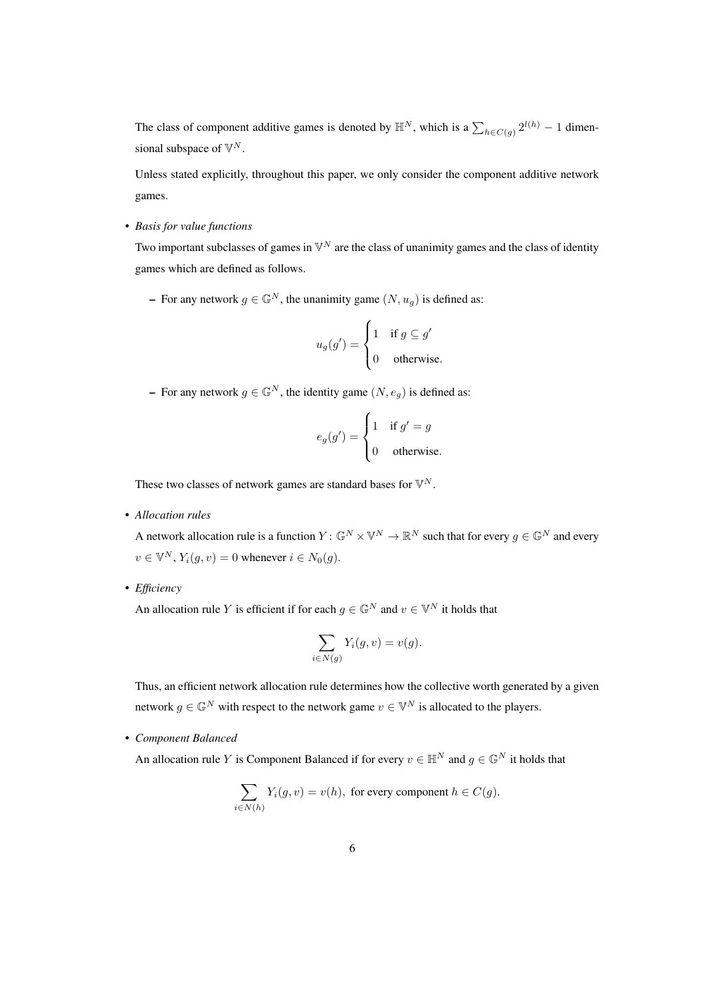The class of component additive games is denoted by  $\mathbb{H}^N$ , which is a  $\sum_{h \in C(g)} 2^{l(h)} - 1$  dimensional subspace of  $\mathbb{V}^N$ .

Unless stated explicitly, throughout this paper, we only consider the component additive network games.

• *Basis for value functions*

Two important subclasses of games in  $\mathbb{V}^N$  are the class of unanimity games and the class of identity games which are defined as follows.

– For any network  $g \in \mathbb{G}^N$ , the unanimity game  $(N, u_q)$  is defined as:

$$
u_g(g') = \begin{cases} 1 & \text{if } g \subseteq g' \\ 0 & \text{otherwise.} \end{cases}
$$

– For any network  $g \in \mathbb{G}^N$ , the identity game  $(N, e_g)$  is defined as:

$$
e_g(g') = \begin{cases} 1 & \text{if } g' = g \\ 0 & \text{otherwise.} \end{cases}
$$

These two classes of network games are standard bases for  $\mathbb{V}^N$ .

• *Allocation rules*

A network allocation rule is a function  $Y: \mathbb{G}^N \times \mathbb{V}^N \to \mathbb{R}^N$  such that for every  $g \in \mathbb{G}^N$  and every  $v \in \mathbb{V}^N$ ,  $Y_i(g, v) = 0$  whenever  $i \in N_0(g)$ .

• *Efficiency*

An allocation rule Y is efficient if for each  $g \in \mathbb{G}^N$  and  $v \in \mathbb{V}^N$  it holds that

$$
\sum_{i \in N(g)} Y_i(g, v) = v(g).
$$

Thus, an efficient network allocation rule determines how the collective worth generated by a given network  $g \in \mathbb{G}^N$  with respect to the network game  $v \in \mathbb{V}^N$  is allocated to the players.

• *Component Balanced*

An allocation rule Y is Component Balanced if for every  $v \in \mathbb{H}^N$  and  $q \in \mathbb{G}^N$  it holds that

$$
\sum_{i \in N(h)} Y_i(g, v) = v(h),
$$
 for every component  $h \in C(g)$ .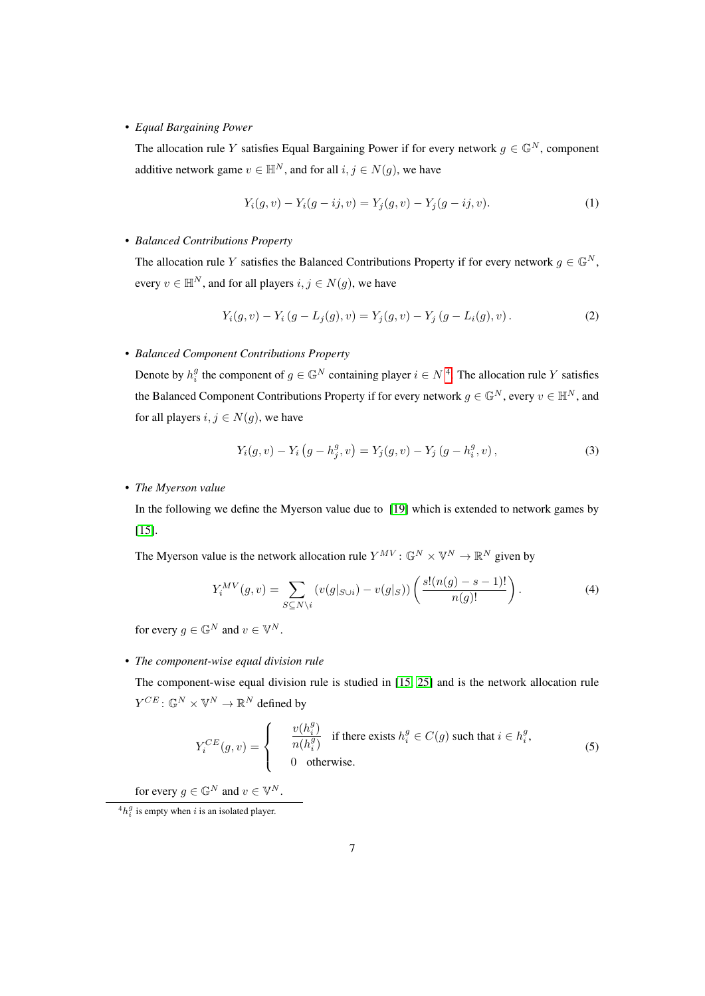#### • *Equal Bargaining Power*

The allocation rule Y satisfies Equal Bargaining Power if for every network  $g \in \mathbb{G}^N$ , component additive network game  $v \in \mathbb{H}^N$ , and for all  $i, j \in N(q)$ , we have

$$
Y_i(g, v) - Y_i(g - ij, v) = Y_j(g, v) - Y_j(g - ij, v).
$$
\n(1)

#### • *Balanced Contributions Property*

The allocation rule Y satisfies the Balanced Contributions Property if for every network  $g \in \mathbb{G}^N$ , every  $v \in \mathbb{H}^N$ , and for all players  $i, j \in N(q)$ , we have

$$
Y_i(g, v) - Y_i(g - L_j(g), v) = Y_j(g, v) - Y_j(g - L_i(g), v).
$$
\n(2)

### • *Balanced Component Contributions Property*

Denote by  $h_i^g$  the component of  $g \in \mathbb{G}^N$  containing player  $i \in N^4$  $i \in N^4$ . The allocation rule Y satisfies the Balanced Component Contributions Property if for every network  $g \in \mathbb{G}^N$ , every  $v \in \mathbb{H}^N$ , and for all players  $i, j \in N(q)$ , we have

$$
Y_i(g, v) - Y_i(g - h_j^g, v) = Y_j(g, v) - Y_j(g - h_i^g, v),
$$
\n(3)

#### • *The Myerson value*

In the following we define the Myerson value due to [\[19\]](#page-35-1) which is extended to network games by [\[15\]](#page-35-0).

The Myerson value is the network allocation rule  $Y^{MV}$  :  $\mathbb{G}^N \times \mathbb{V}^N \to \mathbb{R}^N$  given by

$$
Y_i^{MV}(g, v) = \sum_{S \subseteq N \setminus i} (v(g|_{S \cup i}) - v(g|_S)) \left( \frac{s!(n(g) - s - 1)!}{n(g)!} \right). \tag{4}
$$

for every  $g \in \mathbb{G}^N$  and  $v \in \mathbb{V}^N$ .

#### • *The component-wise equal division rule*

The component-wise equal division rule is studied in [\[15,](#page-35-0) [25\]](#page-36-1) and is the network allocation rule  $Y^{CE} \colon \mathbb{G}^N \times \mathbb{V}^N \to \mathbb{R}^N$  defined by

$$
Y_i^{CE}(g, v) = \begin{cases} & \frac{v(h_i^g)}{n(h_i^g)} \text{ if there exists } h_i^g \in C(g) \text{ such that } i \in h_i^g, \\ & 0 \text{ otherwise.} \end{cases}
$$
 (5)

for every  $g \in \mathbb{G}^N$  and  $v \in \mathbb{V}^N$ .

<span id="page-6-0"></span> ${}^4h_i^g$  is empty when i is an isolated player.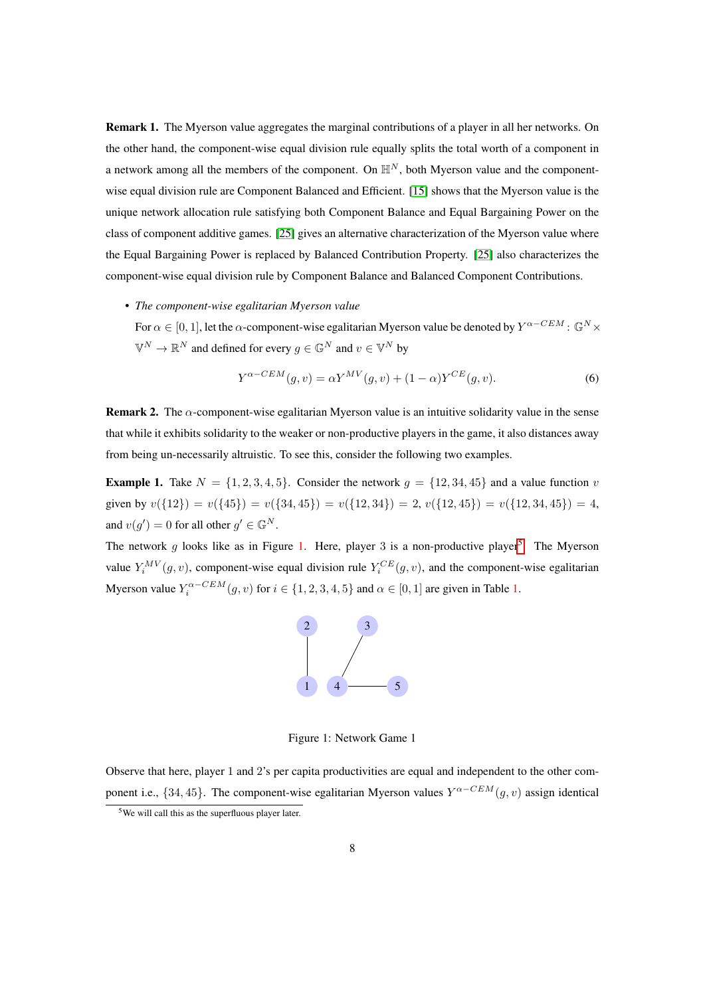Remark 1. The Myerson value aggregates the marginal contributions of a player in all her networks. On the other hand, the component-wise equal division rule equally splits the total worth of a component in a network among all the members of the component. On  $\mathbb{H}^N$ , both Myerson value and the componentwise equal division rule are Component Balanced and Efficient. [\[15\]](#page-35-0) shows that the Myerson value is the unique network allocation rule satisfying both Component Balance and Equal Bargaining Power on the class of component additive games. [\[25\]](#page-36-1) gives an alternative characterization of the Myerson value where the Equal Bargaining Power is replaced by Balanced Contribution Property. [\[25\]](#page-36-1) also characterizes the component-wise equal division rule by Component Balance and Balanced Component Contributions.

• *The component-wise egalitarian Myerson value*

For  $\alpha \in [0,1]$ , let the  $\alpha$ -component-wise egalitarian Myerson value be denoted by  $Y^{\alpha-CEM}$  :  $\mathbb{G}^N\times$  $\mathbb{V}^N \to \mathbb{R}^N$  and defined for every  $g \in \mathbb{G}^N$  and  $v \in \mathbb{V}^N$  by

$$
Y^{\alpha-CEM}(g,v) = \alpha Y^{MV}(g,v) + (1-\alpha)Y^{CE}(g,v). \tag{6}
$$

**Remark 2.** The  $\alpha$ -component-wise egalitarian Myerson value is an intuitive solidarity value in the sense that while it exhibits solidarity to the weaker or non-productive players in the game, it also distances away from being un-necessarily altruistic. To see this, consider the following two examples.

**Example 1.** Take  $N = \{1, 2, 3, 4, 5\}$ . Consider the network  $g = \{12, 34, 45\}$  and a value function v given by  $v({12}) = v({45}) = v({34, 45}) = v({12, 34}) = 2$ ,  $v({12, 45}) = v({12, 34, 45}) = 4$ , and  $v(g') = 0$  for all other  $g' \in \mathbb{G}^N$ .

The network g looks like as in Figure 1. Here, player 3 is a non-productive player<sup>[5](#page-7-0)</sup>. The Myerson value  $Y_i^{MV}(g, v)$ , component-wise equal division rule  $Y_i^{CE}(g, v)$ , and the component-wise egalitarian Myerson value  $Y_i^{\alpha-CEM}(g, v)$  for  $i \in \{1, 2, 3, 4, 5\}$  and  $\alpha \in [0, 1]$  are given in Table 1.



Figure 1: Network Game 1

Observe that here, player 1 and 2's per capita productivities are equal and independent to the other component i.e., {34, 45}. The component-wise egalitarian Myerson values  $Y^{\alpha-CEM}(g, v)$  assign identical

<span id="page-7-0"></span><sup>5</sup>We will call this as the superfluous player later.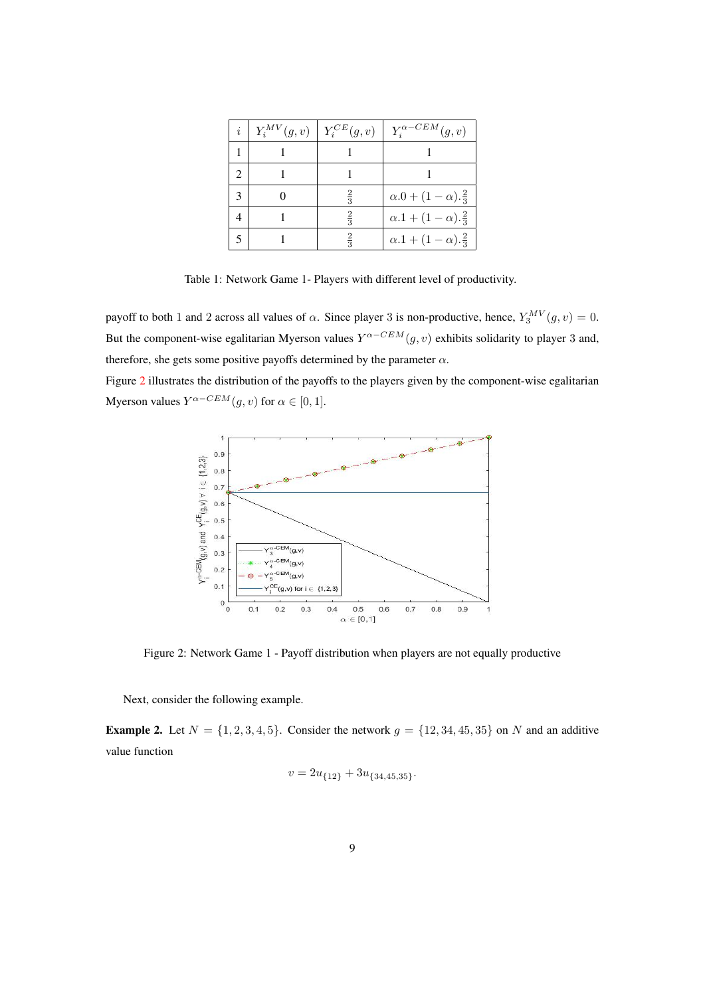| i  | $Y_i^{MV}(g, v)$ | $Y_i^{CE}(g, v)$ | $Y_i^{\alpha - CEM}(g, v)$            |
|----|------------------|------------------|---------------------------------------|
|    |                  |                  |                                       |
| 2. |                  |                  |                                       |
|    |                  | $\frac{2}{3}$    | $\alpha.0+(1-\alpha).\frac{2}{3}$     |
|    |                  | $\frac{2}{3}$    | $\alpha.1 + (1 - \alpha).\frac{2}{3}$ |
|    |                  | $\frac{2}{3}$    | $\alpha.1 + (1 - \alpha).\frac{2}{3}$ |

Table 1: Network Game 1- Players with different level of productivity.

payoff to both 1 and 2 across all values of  $\alpha$ . Since player 3 is non-productive, hence,  $Y_3^{MV}(g, v) = 0$ . But the component-wise egalitarian Myerson values  $Y^{\alpha-CEM}(g, v)$  exhibits solidarity to player 3 and, therefore, she gets some positive payoffs determined by the parameter  $\alpha$ .

Figure 2 illustrates the distribution of the payoffs to the players given by the component-wise egalitarian Myerson values  $Y^{\alpha-CEM}(g, v)$  for  $\alpha \in [0, 1]$ .



Figure 2: Network Game 1 - Payoff distribution when players are not equally productive

Next, consider the following example.

**Example 2.** Let  $N = \{1, 2, 3, 4, 5\}$ . Consider the network  $g = \{12, 34, 45, 35\}$  on N and an additive value function

$$
v = 2u_{\{12\}} + 3u_{\{34,45,35\}}.
$$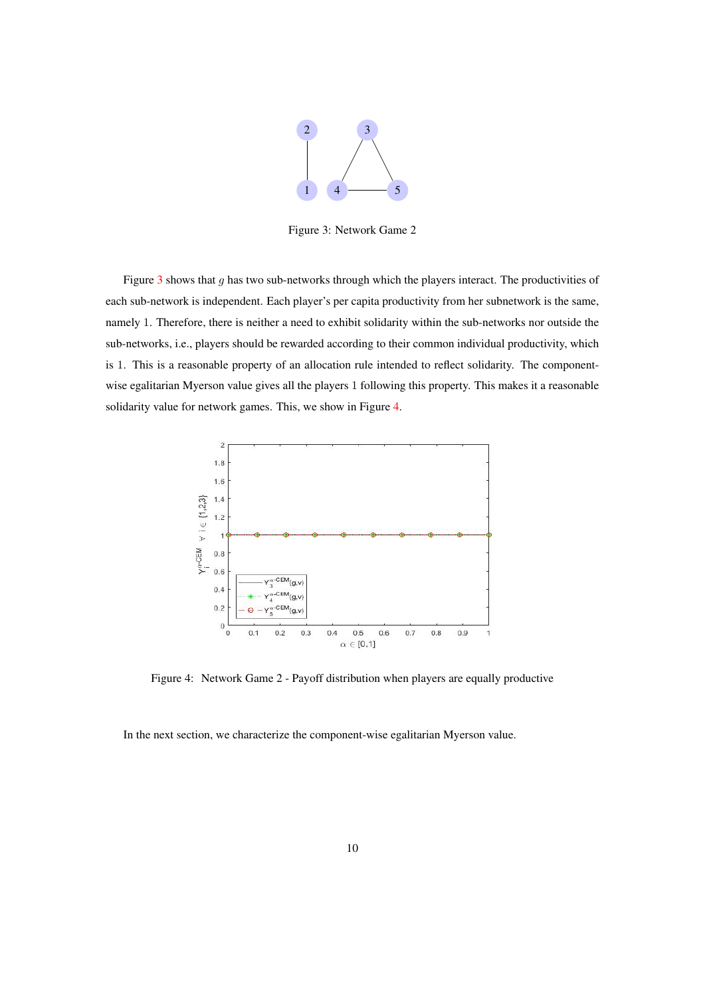

Figure 3: Network Game 2

Figure 3 shows that g has two sub-networks through which the players interact. The productivities of each sub-network is independent. Each player's per capita productivity from her subnetwork is the same, namely 1. Therefore, there is neither a need to exhibit solidarity within the sub-networks nor outside the sub-networks, i.e., players should be rewarded according to their common individual productivity, which is 1. This is a reasonable property of an allocation rule intended to reflect solidarity. The componentwise egalitarian Myerson value gives all the players 1 following this property. This makes it a reasonable solidarity value for network games. This, we show in Figure 4.



Figure 4: Network Game 2 - Payoff distribution when players are equally productive

In the next section, we characterize the component-wise egalitarian Myerson value.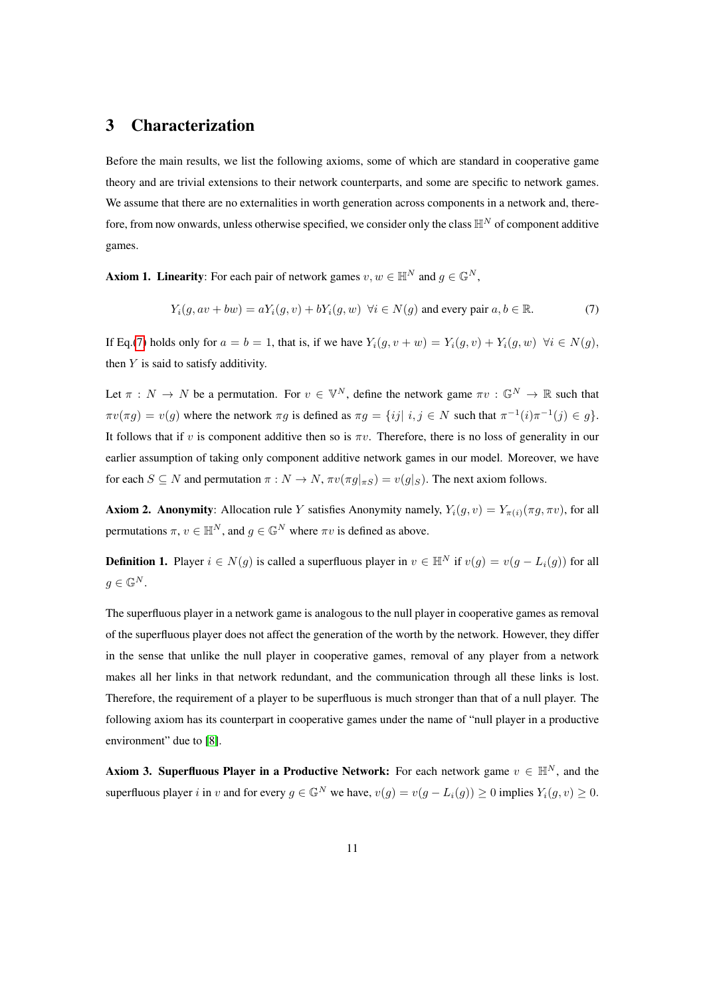## <span id="page-10-0"></span>3 Characterization

Before the main results, we list the following axioms, some of which are standard in cooperative game theory and are trivial extensions to their network counterparts, and some are specific to network games. We assume that there are no externalities in worth generation across components in a network and, therefore, from now onwards, unless otherwise specified, we consider only the class  $\mathbb{H}^N$  of component additive games.

**Axiom 1. Linearity:** For each pair of network games  $v, w \in \mathbb{H}^N$  and  $g \in \mathbb{G}^N$ ,

<span id="page-10-1"></span>
$$
Y_i(g, av + bw) = aY_i(g, v) + bY_i(g, w) \quad \forall i \in N(g) \text{ and every pair } a, b \in \mathbb{R}.
$$
 (7)

If Eq.[\(7\)](#page-10-1) holds only for  $a = b = 1$ , that is, if we have  $Y_i(g, v + w) = Y_i(g, v) + Y_i(g, w) \ \forall i \in N(g)$ , then  $Y$  is said to satisfy additivity.

Let  $\pi : N \to N$  be a permutation. For  $v \in \mathbb{V}^N$ , define the network game  $\pi v : \mathbb{G}^N \to \mathbb{R}$  such that  $\pi v(\pi g) = v(g)$  where the network  $\pi g$  is defined as  $\pi g = \{ij | i, j \in N \text{ such that } \pi^{-1}(i)\pi^{-1}(j) \in g\}.$ It follows that if v is component additive then so is  $\pi v$ . Therefore, there is no loss of generality in our earlier assumption of taking only component additive network games in our model. Moreover, we have for each  $S \subseteq N$  and permutation  $\pi : N \to N$ ,  $\pi v(\pi g|_{\pi S}) = v(g|_{S})$ . The next axiom follows.

**Axiom 2. Anonymity**: Allocation rule Y satisfies Anonymity namely,  $Y_i(g, v) = Y_{\pi(i)}(\pi g, \pi v)$ , for all permutations  $\pi, v \in \mathbb{H}^N$ , and  $g \in \mathbb{G}^N$  where  $\pi v$  is defined as above.

**Definition 1.** Player  $i \in N(g)$  is called a superfluous player in  $v \in \mathbb{H}^N$  if  $v(g) = v(g - L_i(g))$  for all  $q \in \mathbb{G}^N$ .

The superfluous player in a network game is analogous to the null player in cooperative games as removal of the superfluous player does not affect the generation of the worth by the network. However, they differ in the sense that unlike the null player in cooperative games, removal of any player from a network makes all her links in that network redundant, and the communication through all these links is lost. Therefore, the requirement of a player to be superfluous is much stronger than that of a null player. The following axiom has its counterpart in cooperative games under the name of "null player in a productive environment" due to [\[8\]](#page-35-9).

Axiom 3. Superfluous Player in a Productive Network: For each network game  $v \in \mathbb{H}^N$ , and the superfluous player i in v and for every  $g \in \mathbb{G}^N$  we have,  $v(g) = v(g - L_i(g)) \ge 0$  implies  $Y_i(g, v) \ge 0$ .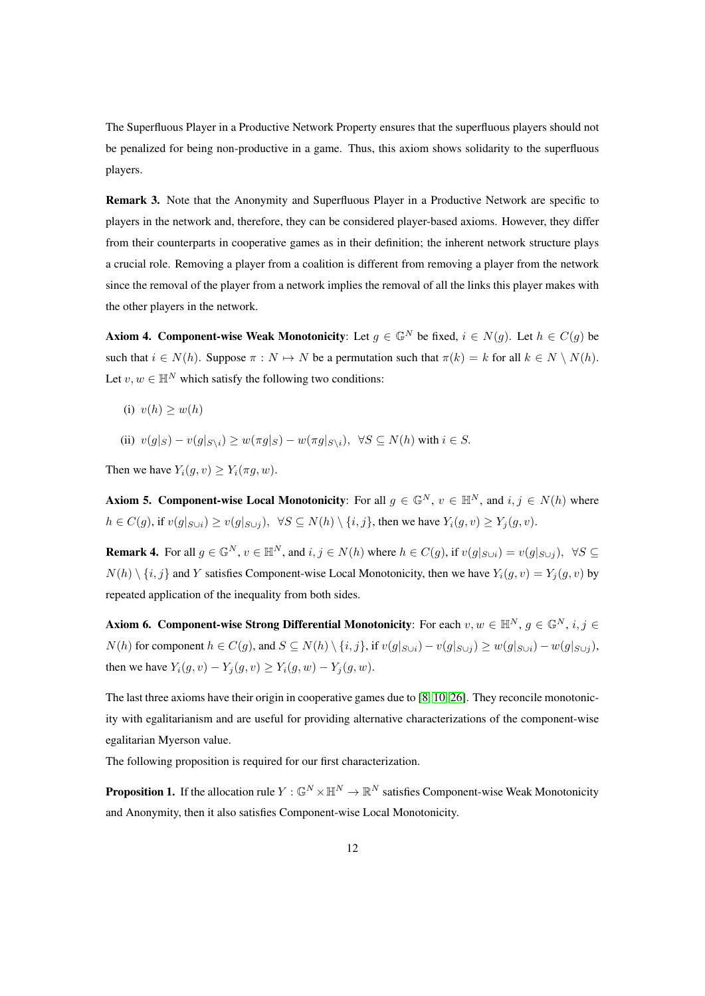The Superfluous Player in a Productive Network Property ensures that the superfluous players should not be penalized for being non-productive in a game. Thus, this axiom shows solidarity to the superfluous players.

Remark 3. Note that the Anonymity and Superfluous Player in a Productive Network are specific to players in the network and, therefore, they can be considered player-based axioms. However, they differ from their counterparts in cooperative games as in their definition; the inherent network structure plays a crucial role. Removing a player from a coalition is different from removing a player from the network since the removal of the player from a network implies the removal of all the links this player makes with the other players in the network.

Axiom 4. Component-wise Weak Monotonicity: Let  $g \in \mathbb{G}^N$  be fixed,  $i \in N(g)$ . Let  $h \in C(g)$  be such that  $i \in N(h)$ . Suppose  $\pi : N \mapsto N$  be a permutation such that  $\pi(k) = k$  for all  $k \in N \setminus N(h)$ . Let  $v, w \in \mathbb{H}^N$  which satisfy the following two conditions:

- (i)  $v(h) > w(h)$
- (ii)  $v(q|S) v(q|S|S) > w(\pi q|S) w(\pi q|S|S)$ ,  $\forall S \subseteq N(h)$  with  $i \in S$ .

Then we have  $Y_i(g, v) \geq Y_i(\pi g, w)$ .

Axiom 5. Component-wise Local Monotonicity: For all  $g \in \mathbb{G}^N$ ,  $v \in \mathbb{H}^N$ , and  $i, j \in N(h)$  where  $h \in C(g)$ , if  $v(g|_{S\cup i}) \ge v(g|_{S\cup j})$ ,  $\forall S \subseteq N(h) \setminus \{i, j\}$ , then we have  $Y_i(g, v) \ge Y_j(g, v)$ .

<span id="page-11-1"></span>**Remark 4.** For all  $g \in \mathbb{G}^N$ ,  $v \in \mathbb{H}^N$ , and  $i, j \in N(h)$  where  $h \in C(g)$ , if  $v(g|_{S\cup i}) = v(g|_{S\cup j})$ ,  $\forall S \subseteq$  $N(h) \setminus \{i, j\}$  and Y satisfies Component-wise Local Monotonicity, then we have  $Y_i(g, v) = Y_i(g, v)$  by repeated application of the inequality from both sides.

Axiom 6. Component-wise Strong Differential Monotonicity: For each  $v, w \in \mathbb{H}^N$ ,  $g \in \mathbb{G}^N$ ,  $i, j \in \mathbb{Z}^N$  $N(h)$  for component  $h \in C(g)$ , and  $S \subseteq N(h) \setminus \{i, j\}$ , if  $v(g|_{S \cup i}) - v(g|_{S \cup j}) \geq w(g|_{S \cup i}) - w(g|_{S \cup j})$ , then we have  $Y_i(g, v) - Y_j(g, v) \ge Y_i(g, w) - Y_j(g, w)$ .

The last three axioms have their origin in cooperative games due to [\[8,](#page-35-9) [10,](#page-35-12) [26\]](#page-36-3). They reconcile monotonicity with egalitarianism and are useful for providing alternative characterizations of the component-wise egalitarian Myerson value.

The following proposition is required for our first characterization.

<span id="page-11-0"></span>**Proposition 1.** If the allocation rule  $Y : \mathbb{G}^N \times \mathbb{H}^N \to \mathbb{R}^N$  satisfies Component-wise Weak Monotonicity and Anonymity, then it also satisfies Component-wise Local Monotonicity.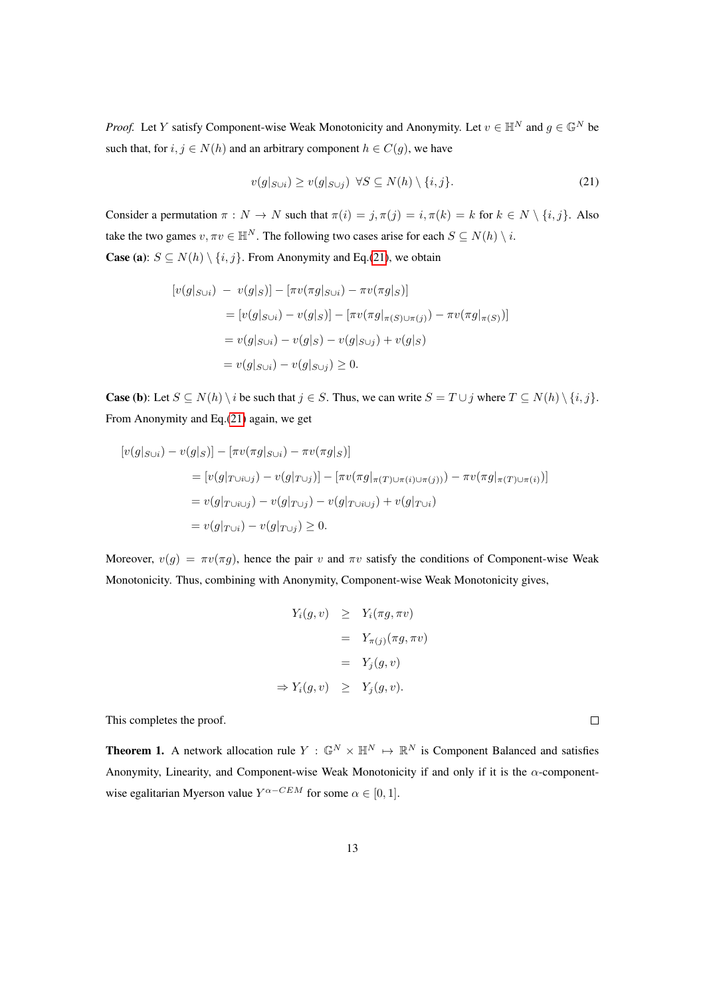*Proof.* Let Y satisfy Component-wise Weak Monotonicity and Anonymity. Let  $v \in \mathbb{H}^N$  and  $g \in \mathbb{G}^N$  be such that, for  $i, j \in N(h)$  and an arbitrary component  $h \in C(g)$ , we have

<span id="page-12-0"></span>
$$
v(g|_{S\cup i}) \ge v(g|_{S\cup j}) \ \forall S \subseteq N(h) \setminus \{i, j\}.
$$
 (21)

Consider a permutation  $\pi : N \to N$  such that  $\pi(i) = j, \pi(j) = i, \pi(k) = k$  for  $k \in N \setminus \{i, j\}$ . Also take the two games  $v, \pi v \in \mathbb{H}^N$ . The following two cases arise for each  $S \subseteq N(h) \setminus i$ . **Case (a):**  $S \subseteq N(h) \setminus \{i, j\}$ . From Anonymity and Eq.[\(21\)](#page-12-0), we obtain

$$
[v(g|_{S\cup i}) - v(g|_{S})] - [\pi v(\pi g|_{S\cup i}) - \pi v(\pi g|_{S})]
$$
  
\n
$$
= [v(g|_{S\cup i}) - v(g|_{S})] - [\pi v(\pi g|_{\pi(S)\cup\pi(j)}) - \pi v(\pi g|_{\pi(S)})]
$$
  
\n
$$
= v(g|_{S\cup i}) - v(g|_{S}) - v(g|_{S\cup j}) + v(g|_{S})
$$
  
\n
$$
= v(g|_{S\cup i}) - v(g|_{S\cup j}) \ge 0.
$$

**Case (b):** Let  $S \subseteq N(h) \setminus i$  be such that  $j \in S$ . Thus, we can write  $S = T \cup j$  where  $T \subseteq N(h) \setminus \{i, j\}$ . From Anonymity and Eq.[\(21\)](#page-12-0) again, we get

$$
[v(g|_{S\cup i}) - v(g|_{S})] - [\pi v(\pi g|_{S\cup i}) - \pi v(\pi g|_{S})]
$$
  
\n
$$
= [v(g|_{T\cup i\cup j}) - v(g|_{T\cup j})] - [\pi v(\pi g|_{\pi(T)\cup \pi(i)\cup \pi(j)}) - \pi v(\pi g|_{\pi(T)\cup \pi(i)})]
$$
  
\n
$$
= v(g|_{T\cup i\cup j}) - v(g|_{T\cup j}) - v(g|_{T\cup i\cup j}) + v(g|_{T\cup i})
$$
  
\n
$$
= v(g|_{T\cup i}) - v(g|_{T\cup j}) \ge 0.
$$

Moreover,  $v(q) = \pi v(\pi q)$ , hence the pair v and  $\pi v$  satisfy the conditions of Component-wise Weak Monotonicity. Thus, combining with Anonymity, Component-wise Weak Monotonicity gives,

$$
Y_i(g, v) \geq Y_i(\pi g, \pi v)
$$
  
=  $Y_{\pi(j)}(\pi g, \pi v)$   
=  $Y_j(g, v)$   
 $\Rightarrow Y_i(g, v) \geq Y_j(g, v).$ 

This completes the proof.

<span id="page-12-1"></span>**Theorem 1.** A network allocation rule  $Y : \mathbb{G}^N \times \mathbb{H}^N \mapsto \mathbb{R}^N$  is Component Balanced and satisfies Anonymity, Linearity, and Component-wise Weak Monotonicity if and only if it is the  $\alpha$ -componentwise egalitarian Myerson value  $Y^{\alpha-CEM}$  for some  $\alpha \in [0, 1]$ .

 $\Box$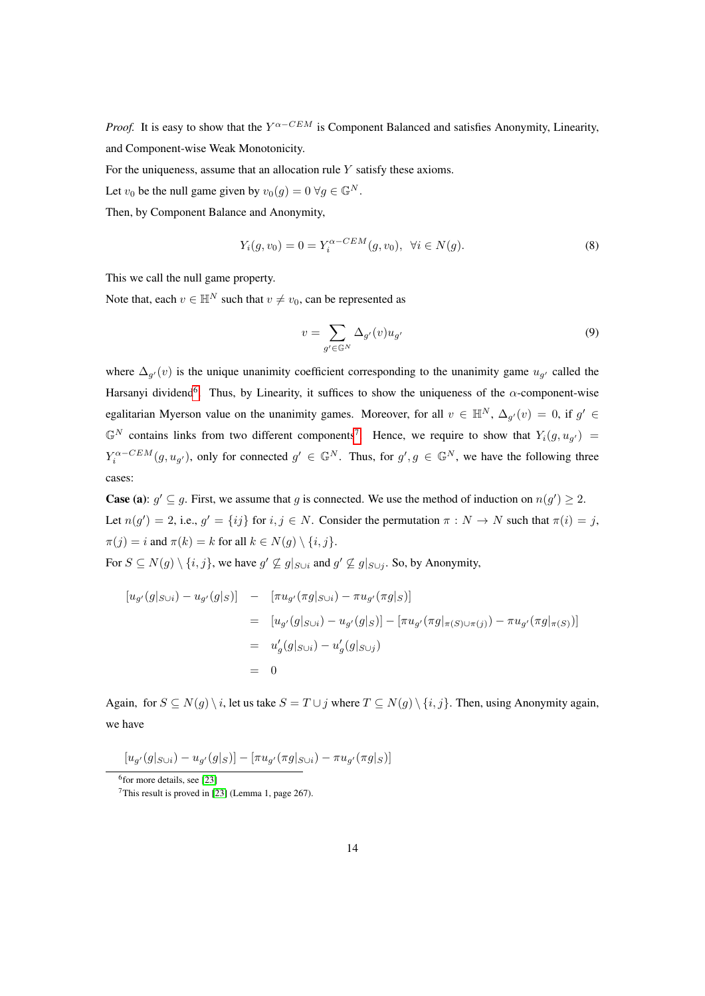*Proof.* It is easy to show that the  $Y^{\alpha-CEM}$  is Component Balanced and satisfies Anonymity, Linearity, and Component-wise Weak Monotonicity.

For the uniqueness, assume that an allocation rule  $Y$  satisfy these axioms.

Let  $v_0$  be the null game given by  $v_0(q) = 0 \ \forall q \in \mathbb{G}^N$ .

Then, by Component Balance and Anonymity,

<span id="page-13-2"></span>
$$
Y_i(g, v_0) = 0 = Y_i^{\alpha - CEM}(g, v_0), \ \forall i \in N(g).
$$
\n(8)

This we call the null game property.

Note that, each  $v \in \mathbb{H}^N$  such that  $v \neq v_0$ , can be represented as

<span id="page-13-3"></span>
$$
v = \sum_{g' \in \mathbb{G}^N} \Delta_{g'}(v) u_{g'} \tag{9}
$$

where  $\Delta_{g'}(v)$  is the unique unanimity coefficient corresponding to the unanimity game  $u_{g'}$  called the Harsanyi dividend<sup>[6](#page-13-0)</sup>. Thus, by Linearity, it suffices to show the uniqueness of the  $\alpha$ -component-wise egalitarian Myerson value on the unanimity games. Moreover, for all  $v \in \mathbb{H}^N$ ,  $\Delta_{g'}(v) = 0$ , if  $g' \in$  $\mathbb{G}^N$  contains links from two different components<sup>[7](#page-13-1)</sup>. Hence, we require to show that  $Y_i(g, u_{g'})$  =  $Y_i^{\alpha-CEM}(g, u_{g'})$ , only for connected  $g' \in \mathbb{G}^N$ . Thus, for  $g', g \in \mathbb{G}^N$ , we have the following three cases:

**Case (a):**  $g' \subseteq g$ . First, we assume that g is connected. We use the method of induction on  $n(g') \geq 2$ . Let  $n(g') = 2$ , i.e.,  $g' = \{ij\}$  for  $i, j \in N$ . Consider the permutation  $\pi : N \to N$  such that  $\pi(i) = j$ ,  $\pi(j) = i$  and  $\pi(k) = k$  for all  $k \in N(g) \setminus \{i, j\}.$ 

For  $S \subseteq N(g) \setminus \{i, j\}$ , we have  $g' \nsubseteq g|_{S \cup i}$  and  $g' \nsubseteq g|_{S \cup j}$ . So, by Anonymity,

$$
[u_{g'}(g|_{S\cup i}) - u_{g'}(g|_{S})] - [\pi u_{g'}(\pi g|_{S\cup i}) - \pi u_{g'}(\pi g|_{S})]
$$
  
\n
$$
= [u_{g'}(g|_{S\cup i}) - u_{g'}(g|_{S})] - [\pi u_{g'}(\pi g|_{\pi(S)\cup\pi(j)}) - \pi u_{g'}(\pi g|_{\pi(S)})]
$$
  
\n
$$
= u'_{g}(g|_{S\cup i}) - u'_{g}(g|_{S\cup j})
$$
  
\n
$$
= 0
$$

Again, for  $S \subseteq N(g) \setminus i$ , let us take  $S = T \cup j$  where  $T \subseteq N(g) \setminus \{i, j\}$ . Then, using Anonymity again, we have

$$
[u_{g'}(g|_{S\cup i})-u_{g'}(g|_S)] - [\pi u_{g'}(\pi g|_{S\cup i})-\pi u_{g'}(\pi g|_S)]
$$

<span id="page-13-1"></span><span id="page-13-0"></span>6 for more details, see [\[23\]](#page-36-2)

<sup>&</sup>lt;sup>7</sup>This result is proved in [\[23\]](#page-36-2) (Lemma 1, page 267).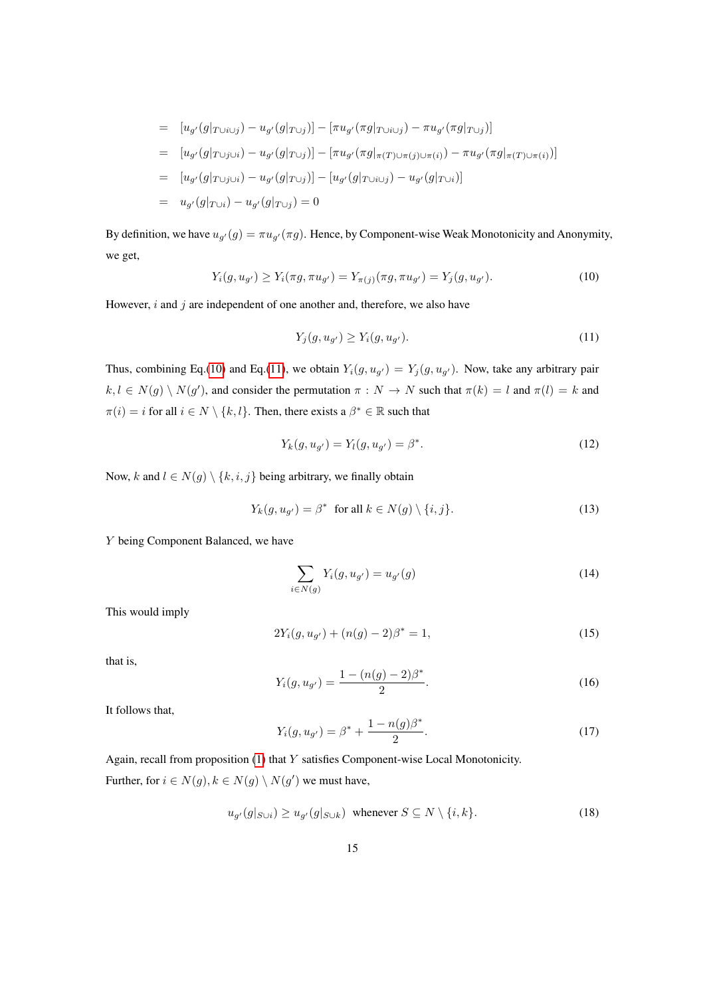$$
= [u_{g'}(g|_{T\cup i\cup j}) - u_{g'}(g|_{T\cup j})] - [\pi u_{g'}(\pi g|_{T\cup i\cup j}) - \pi u_{g'}(\pi g|_{T\cup j})]
$$
  
\n
$$
= [u_{g'}(g|_{T\cup j\cup i}) - u_{g'}(g|_{T\cup j})] - [\pi u_{g'}(\pi g|_{\pi(T)\cup \pi(i)}) - \pi u_{g'}(\pi g|_{\pi(T)\cup \pi(i)})]
$$
  
\n
$$
= [u_{g'}(g|_{T\cup j\cup i}) - u_{g'}(g|_{T\cup j})] - [u_{g'}(g|_{T\cup i\cup j}) - u_{g'}(g|_{T\cup i})]
$$
  
\n
$$
= u_{g'}(g|_{T\cup i}) - u_{g'}(g|_{T\cup j}) = 0
$$

By definition, we have  $u_{g'}(g) = \pi u_{g'}(\pi g)$ . Hence, by Component-wise Weak Monotonicity and Anonymity, we get,

<span id="page-14-0"></span>
$$
Y_i(g, u_{g'}) \ge Y_i(\pi g, \pi u_{g'}) = Y_{\pi(j)}(\pi g, \pi u_{g'}) = Y_j(g, u_{g'}).
$$
\n(10)

However,  $i$  and  $j$  are independent of one another and, therefore, we also have

<span id="page-14-1"></span>
$$
Y_j(g, u_{g'}) \ge Y_i(g, u_{g'}). \tag{11}
$$

Thus, combining Eq.[\(10\)](#page-14-0) and Eq.[\(11\)](#page-14-1), we obtain  $Y_i(g, u_{g'}) = Y_j(g, u_{g'})$ . Now, take any arbitrary pair  $k, l \in N(g) \setminus N(g')$ , and consider the permutation  $\pi : N \to N$  such that  $\pi(k) = l$  and  $\pi(l) = k$  and  $\pi(i) = i$  for all  $i \in N \setminus \{k, l\}$ . Then, there exists a  $\beta^* \in \mathbb{R}$  such that

$$
Y_k(g, u_{g'}) = Y_l(g, u_{g'}) = \beta^*.
$$
\n(12)

Now, k and  $l \in N(g) \setminus \{k, i, j\}$  being arbitrary, we finally obtain

$$
Y_k(g, u_{g'}) = \beta^* \text{ for all } k \in N(g) \setminus \{i, j\}. \tag{13}
$$

Y being Component Balanced, we have

<span id="page-14-2"></span>
$$
\sum_{i \in N(g)} Y_i(g, u_{g'}) = u_{g'}(g) \tag{14}
$$

This would imply

$$
2Y_i(g, u_{g'}) + (n(g) - 2)\beta^* = 1,
$$
\n(15)

that is,

$$
Y_i(g, u_{g'}) = \frac{1 - (n(g) - 2)\beta^*}{2}.
$$
\n(16)

It follows that,

$$
Y_i(g, u_{g'}) = \beta^* + \frac{1 - n(g)\beta^*}{2}.
$$
\n(17)

Again, recall from proposition [\(1\)](#page-11-0) that Y satisfies Component-wise Local Monotonicity. Further, for  $i \in N(g)$ ,  $k \in N(g) \setminus N(g')$  we must have,

$$
u_{g'}(g|_{S\cup i}) \ge u_{g'}(g|_{S\cup k}) \text{ whenever } S \subseteq N \setminus \{i,k\}. \tag{18}
$$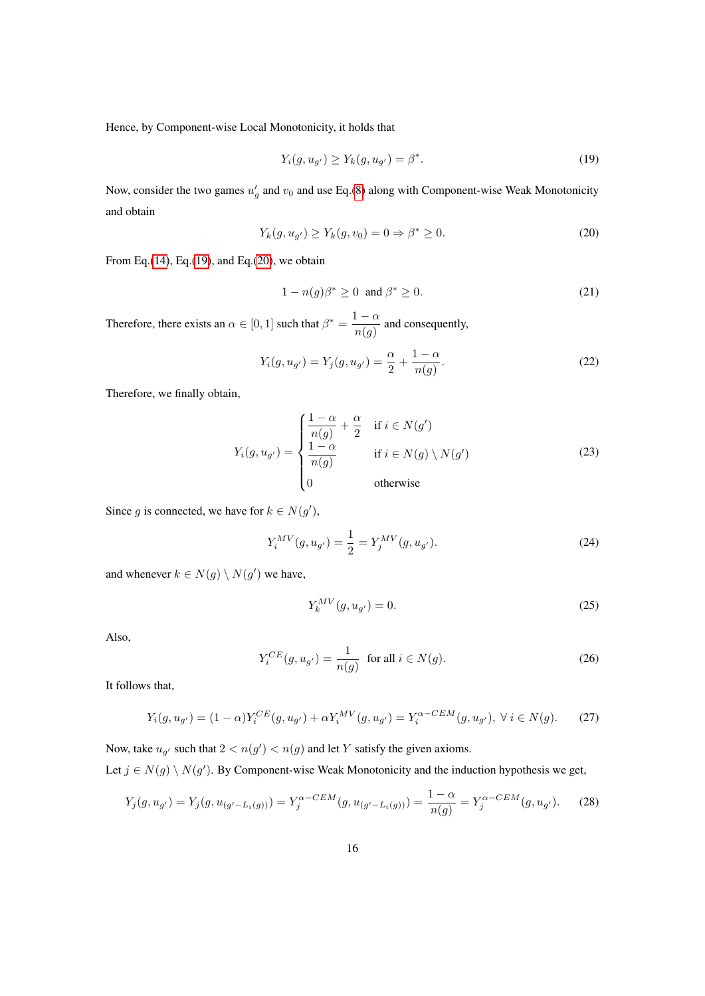Hence, by Component-wise Local Monotonicity, it holds that

<span id="page-15-0"></span>
$$
Y_i(g, u_{g'}) \ge Y_k(g, u_{g'}) = \beta^*.
$$
\n(19)

Now, consider the two games  $u'_g$  and  $v_0$  and use Eq.[\(8\)](#page-13-2) along with Component-wise Weak Monotonicity and obtain

<span id="page-15-1"></span>
$$
Y_k(g, u_{g'}) \ge Y_k(g, v_0) = 0 \Rightarrow \beta^* \ge 0.
$$
\n
$$
(20)
$$

From Eq.[\(14\)](#page-14-2), Eq.[\(19\)](#page-15-0), and Eq.[\(20\)](#page-15-1), we obtain

$$
1 - n(g)\beta^* \ge 0 \text{ and } \beta^* \ge 0. \tag{21}
$$

Therefore, there exists an  $\alpha \in [0,1]$  such that  $\beta^* = \frac{1-\alpha}{\alpha}$  $\frac{a}{n(g)}$  and consequently,

$$
Y_i(g, u_{g'}) = Y_j(g, u_{g'}) = \frac{\alpha}{2} + \frac{1 - \alpha}{n(g)}.
$$
\n(22)

Therefore, we finally obtain,

$$
Y_i(g, u_{g'}) = \begin{cases} \frac{1-\alpha}{n(g)} + \frac{\alpha}{2} & \text{if } i \in N(g')\\ \frac{1-\alpha}{n(g)} & \text{if } i \in N(g) \setminus N(g')\\ 0 & \text{otherwise} \end{cases}
$$
(23)

Since g is connected, we have for  $k \in N(g')$ ,

$$
Y_i^{MV}(g, u_{g'}) = \frac{1}{2} = Y_j^{MV}(g, u_{g'}).
$$
\n(24)

and whenever  $k \in N(g) \setminus N(g')$  we have,

<span id="page-15-2"></span>
$$
Y_k^{MV}(g, u_{g'}) = 0.
$$
\n(25)

Also,

$$
Y_i^{CE}(g, u_{g'}) = \frac{1}{n(g)} \quad \text{for all } i \in N(g). \tag{26}
$$

It follows that,

$$
Y_i(g, u_{g'}) = (1 - \alpha) Y_i^{CE}(g, u_{g'}) + \alpha Y_i^{MV}(g, u_{g'}) = Y_i^{\alpha - CEM}(g, u_{g'}), \ \forall \ i \in N(g). \tag{27}
$$

Now, take  $u_{g'}$  such that  $2 < n(g') < n(g)$  and let Y satisfy the given axioms.

Let  $j \in N(g) \setminus N(g')$ . By Component-wise Weak Monotonicity and the induction hypothesis we get,

$$
Y_j(g, u_{g'}) = Y_j(g, u_{(g'-L_i(g))}) = Y_j^{\alpha - CEM}(g, u_{(g'-L_i(g))}) = \frac{1 - \alpha}{n(g)} = Y_j^{\alpha - CEM}(g, u_{g'}).
$$
 (28)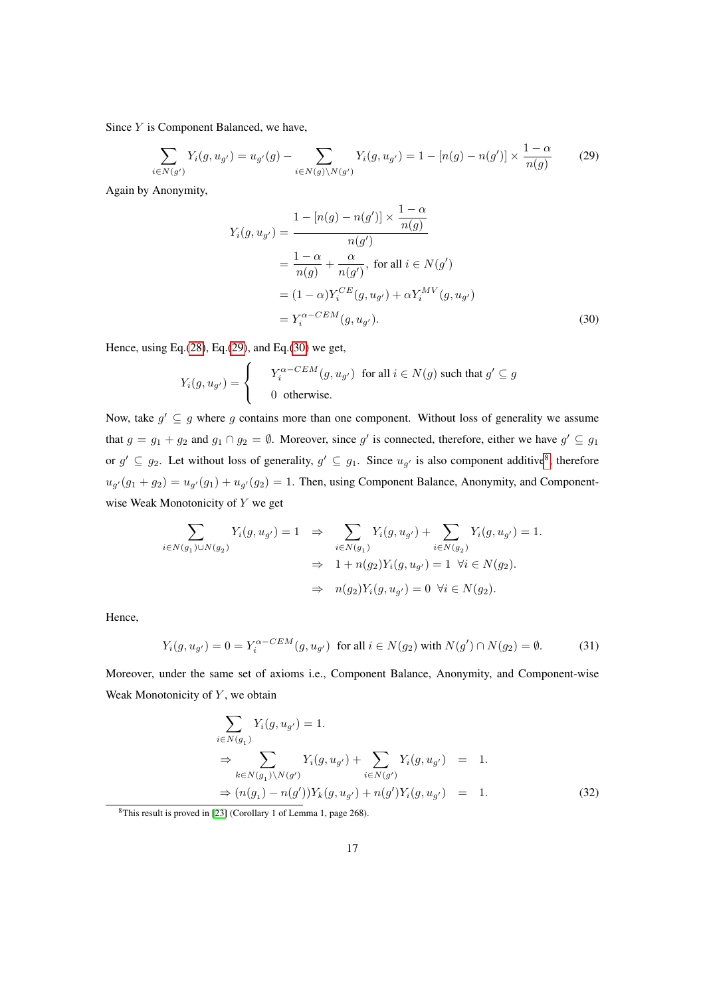Since Y is Component Balanced, we have,

$$
\sum_{i \in N(g')} Y_i(g, u_{g'}) = u_{g'}(g) - \sum_{i \in N(g) \backslash N(g')} Y_i(g, u_{g'}) = 1 - [n(g) - n(g')] \times \frac{1 - \alpha}{n(g)} \tag{29}
$$

Again by Anonymity,

<span id="page-16-1"></span><span id="page-16-0"></span>
$$
Y_i(g, u_{g'}) = \frac{1 - [n(g) - n(g')] \times \frac{1 - \alpha}{n(g)}}{n(g')}
$$
  
=  $\frac{1 - \alpha}{n(g)} + \frac{\alpha}{n(g')}$ , for all  $i \in N(g')$   
=  $(1 - \alpha)Y_i^{CE}(g, u_{g'}) + \alpha Y_i^{MV}(g, u_{g'})$   
=  $Y_i^{\alpha - CEM}(g, u_{g'}).$  (30)

Hence, using Eq. $(28)$ , Eq. $(29)$ , and Eq. $(30)$  we get,

$$
Y_i(g, u_{g'}) = \begin{cases} Y_i^{\alpha - CEM}(g, u_{g'}) & \text{for all } i \in N(g) \text{ such that } g' \subseteq g \\ 0 & \text{otherwise.} \end{cases}
$$

Now, take  $g' \subseteq g$  where g contains more than one component. Without loss of generality we assume that  $g = g_1 + g_2$  and  $g_1 \cap g_2 = \emptyset$ . Moreover, since g' is connected, therefore, either we have  $g' \subseteq g_1$ or  $g' \subseteq g_2$ . Let without loss of generality,  $g' \subseteq g_1$ . Since  $u_{g'}$  is also component additive<sup>[8](#page-16-2)</sup>, therefore  $u_{g'}(g_1+g_2)=u_{g'}(g_1)+u_{g'}(g_2)=1$ . Then, using Component Balance, Anonymity, and Componentwise Weak Monotonicity of Y we get

$$
\sum_{i \in N(g_1) \cup N(g_2)} Y_i(g, u_{g'}) = 1 \Rightarrow \sum_{i \in N(g_1)} Y_i(g, u_{g'}) + \sum_{i \in N(g_2)} Y_i(g, u_{g'}) = 1.
$$
  

$$
\Rightarrow 1 + n(g_2)Y_i(g, u_{g'}) = 1 \quad \forall i \in N(g_2).
$$
  

$$
\Rightarrow n(g_2)Y_i(g, u_{g'}) = 0 \quad \forall i \in N(g_2).
$$

Hence,

$$
Y_i(g, u_{g'}) = 0 = Y_i^{\alpha - CEM}(g, u_{g'})
$$
 for all  $i \in N(g_2)$  with  $N(g') \cap N(g_2) = \emptyset$ . (31)

Moreover, under the same set of axioms i.e., Component Balance, Anonymity, and Component-wise Weak Monotonicity of  $Y$ , we obtain

$$
\sum_{i \in N(g_1)} Y_i(g, u_{g'}) = 1.
$$
\n
$$
\Rightarrow \sum_{k \in N(g_1) \setminus N(g')} Y_i(g, u_{g'}) + \sum_{i \in N(g')} Y_i(g, u_{g'}) = 1.
$$
\n
$$
\Rightarrow (n(g_1) - n(g')) Y_k(g, u_{g'}) + n(g') Y_i(g, u_{g'}) = 1.
$$
\n(32)

<span id="page-16-2"></span><sup>8</sup>This result is proved in [\[23\]](#page-36-2) (Corollary 1 of Lemma 1, page 268).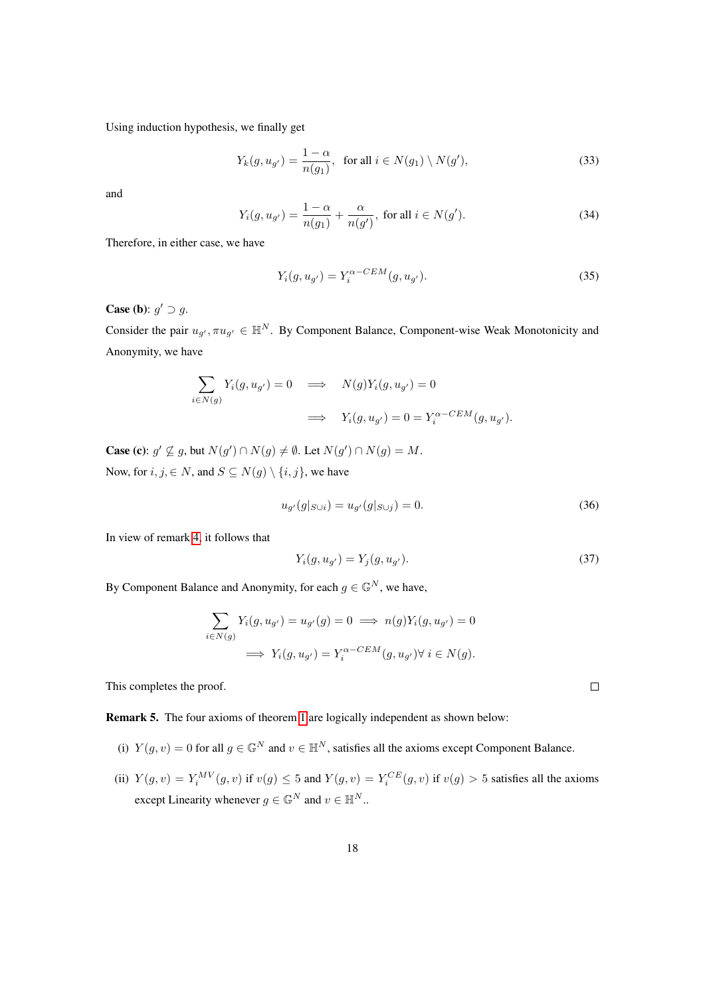Using induction hypothesis, we finally get

$$
Y_k(g, u_{g'}) = \frac{1 - \alpha}{n(g_1)}, \quad \text{for all } i \in N(g_1) \setminus N(g'), \tag{33}
$$

and

$$
Y_i(g, u_{g'}) = \frac{1 - \alpha}{n(g_1)} + \frac{\alpha}{n(g')}, \text{ for all } i \in N(g').
$$
 (34)

Therefore, in either case, we have

$$
Y_i(g, u_{g'}) = Y_i^{\alpha - CEM}(g, u_{g'}).
$$
\n
$$
(35)
$$

**Case (b)**:  $g' \supset g$ .

Consider the pair  $u_{g'}$ ,  $\pi u_{g'} \in \mathbb{H}^N$ . By Component Balance, Component-wise Weak Monotonicity and Anonymity, we have

$$
\sum_{i \in N(g)} Y_i(g, u_{g'}) = 0 \implies N(g)Y_i(g, u_{g'}) = 0
$$
  

$$
\implies Y_i(g, u_{g'}) = 0 = Y_i^{\alpha - CEM}(g, u_{g'}).
$$

**Case (c)**:  $g' \nsubseteq g$ , but  $N(g') \cap N(g) \neq \emptyset$ . Let  $N(g') \cap N(g) = M$ . Now, for  $i, j \in N$ , and  $S \subseteq N(g) \setminus \{i, j\}$ , we have

$$
u_{g'}(g|_{S\cup i}) = u_{g'}(g|_{S\cup j}) = 0.
$$
\n(36)

In view of remark [4,](#page-11-1) it follows that

$$
Y_i(g, u_{g'}) = Y_j(g, u_{g'}). \tag{37}
$$

By Component Balance and Anonymity, for each  $g \in \mathbb{G}^N$ , we have,

$$
\sum_{i \in N(g)} Y_i(g, u_{g'}) = u_{g'}(g) = 0 \implies n(g)Y_i(g, u_{g'}) = 0
$$
  

$$
\implies Y_i(g, u_{g'}) = Y_i^{\alpha - CEM}(g, u_{g'}) \forall i \in N(g).
$$

This completes the proof.

Remark 5. The four axioms of theorem [1](#page-12-1) are logically independent as shown below:

- (i)  $Y(g, v) = 0$  for all  $g \in \mathbb{G}^N$  and  $v \in \mathbb{H}^N$ , satisfies all the axioms except Component Balance.
- (ii)  $Y(g, v) = Y_i^{MV}(g, v)$  if  $v(g) \le 5$  and  $Y(g, v) = Y_i^{CE}(g, v)$  if  $v(g) > 5$  satisfies all the axioms except Linearity whenever  $g \in \mathbb{G}^N$  and  $v \in \mathbb{H}^N$ ..

 $\Box$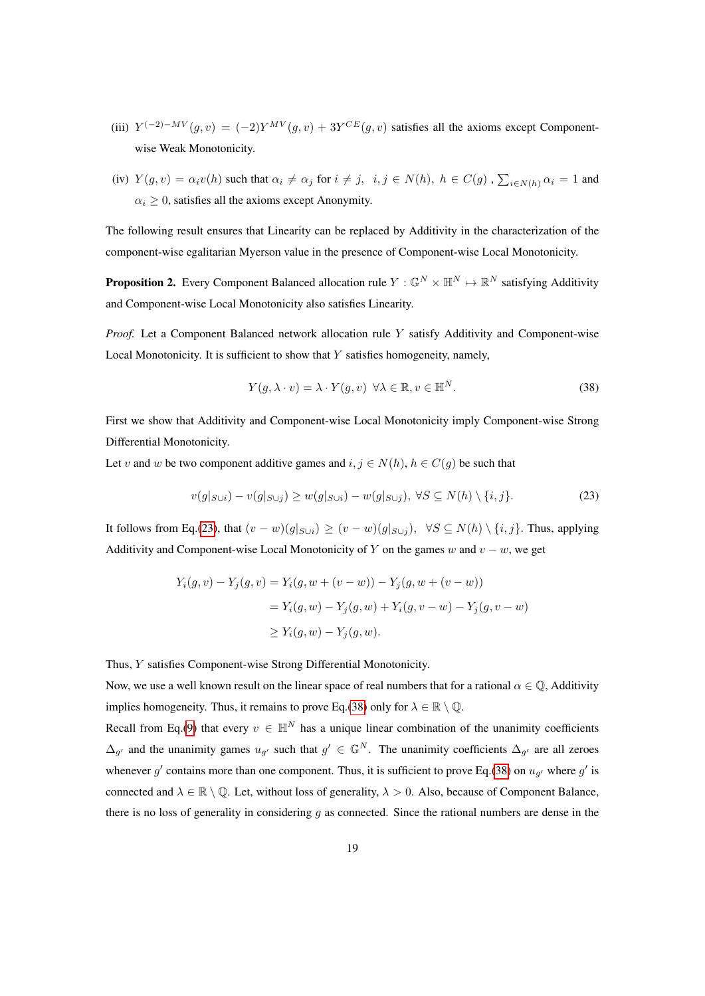- (iii)  $Y^{(-2)-MV}(g, v) = (-2)Y^{MV}(g, v) + 3Y^{CE}(g, v)$  satisfies all the axioms except Componentwise Weak Monotonicity.
- (iv)  $Y(g, v) = \alpha_i v(h)$  such that  $\alpha_i \neq \alpha_j$  for  $i \neq j$ ,  $i, j \in N(h)$ ,  $h \in C(g)$  ,  $\sum_{i \in N(h)} \alpha_i = 1$  and  $\alpha_i \geq 0$ , satisfies all the axioms except Anonymity.

The following result ensures that Linearity can be replaced by Additivity in the characterization of the component-wise egalitarian Myerson value in the presence of Component-wise Local Monotonicity.

<span id="page-18-2"></span>**Proposition 2.** Every Component Balanced allocation rule  $Y : \mathbb{G}^N \times \mathbb{H}^N \mapsto \mathbb{R}^N$  satisfying Additivity and Component-wise Local Monotonicity also satisfies Linearity.

*Proof.* Let a Component Balanced network allocation rule Y satisfy Additivity and Component-wise Local Monotonicity. It is sufficient to show that  $Y$  satisfies homogeneity, namely,

<span id="page-18-1"></span><span id="page-18-0"></span>
$$
Y(g, \lambda \cdot v) = \lambda \cdot Y(g, v) \quad \forall \lambda \in \mathbb{R}, v \in \mathbb{H}^{N}.
$$

First we show that Additivity and Component-wise Local Monotonicity imply Component-wise Strong Differential Monotonicity.

Let v and w be two component additive games and  $i, j \in N(h)$ ,  $h \in C(g)$  be such that

$$
v(g|_{S\cup i}) - v(g|_{S\cup j}) \ge w(g|_{S\cup i}) - w(g|_{S\cup j}), \ \forall S \subseteq N(h) \setminus \{i, j\}.
$$
 (23)

It follows from Eq.[\(23\)](#page-18-0), that  $(v - w)(g|_{S\cup i}) \ge (v - w)(g|_{S\cup j}), \forall S \subseteq N(h) \setminus \{i, j\}.$  Thus, applying Additivity and Component-wise Local Monotonicity of Y on the games w and  $v - w$ , we get

$$
Y_i(g, v) - Y_j(g, v) = Y_i(g, w + (v - w)) - Y_j(g, w + (v - w))
$$
  
=  $Y_i(g, w) - Y_j(g, w) + Y_i(g, v - w) - Y_j(g, v - w)$   
 $\geq Y_i(g, w) - Y_j(g, w).$ 

Thus, Y satisfies Component-wise Strong Differential Monotonicity.

Now, we use a well known result on the linear space of real numbers that for a rational  $\alpha \in \mathbb{Q}$ , Additivity implies homogeneity. Thus, it remains to prove Eq.[\(38\)](#page-18-1) only for  $\lambda \in \mathbb{R} \setminus \mathbb{Q}$ .

Recall from Eq.[\(9\)](#page-13-3) that every  $v \in \mathbb{H}^N$  has a unique linear combination of the unanimity coefficients  $\Delta_{g'}$  and the unanimity games  $u_{g'}$  such that  $g' \in \mathbb{G}^N$ . The unanimity coefficients  $\Delta_{g'}$  are all zeroes whenever g' contains more than one component. Thus, it is sufficient to prove Eq.[\(38\)](#page-18-1) on  $u_{g'}$  where g' is connected and  $\lambda \in \mathbb{R} \setminus \mathbb{Q}$ . Let, without loss of generality,  $\lambda > 0$ . Also, because of Component Balance, there is no loss of generality in considering q as connected. Since the rational numbers are dense in the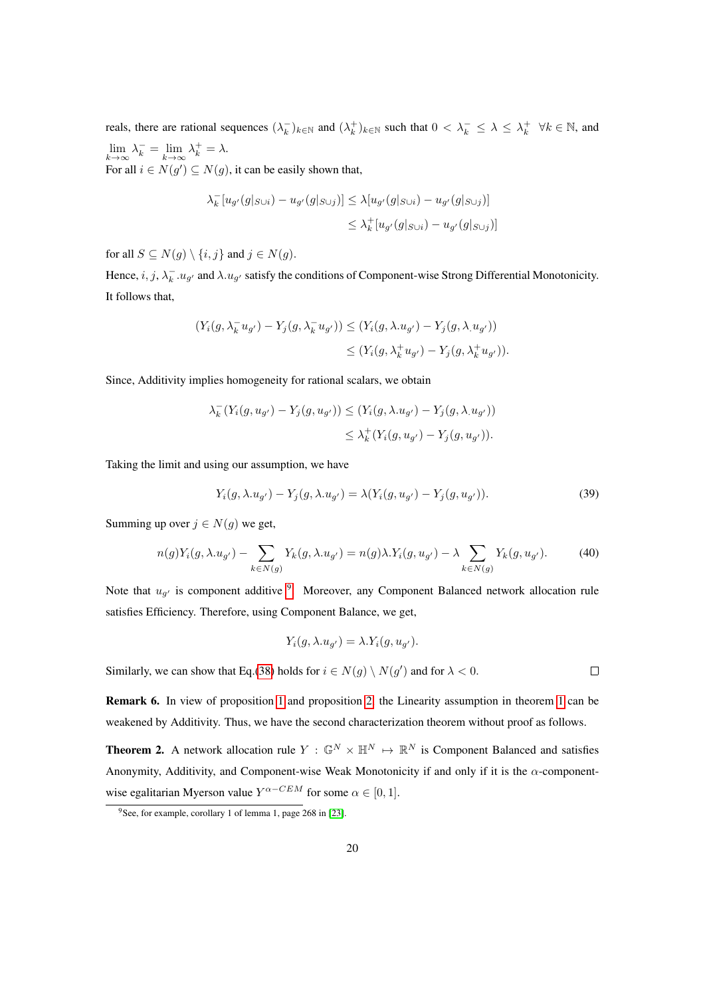reals, there are rational sequences  $(\lambda_k^-)_{k \in \mathbb{N}}$  and  $(\lambda_k^+)_{k \in \mathbb{N}}$  such that  $0 < \lambda_k^- \leq \lambda \leq \lambda_k^+$   $\forall k \in \mathbb{N}$ , and  $\lim_{k \to \infty} \lambda_k^- = \lim_{k \to \infty} \lambda_k^+ = \lambda.$ For all  $i \in N(g') \subseteq N(g)$ , it can be easily shown that,

$$
\lambda_k^{-}[u_{g'}(g|_{S\cup i}) - u_{g'}(g|_{S\cup j})] \leq \lambda [u_{g'}(g|_{S\cup i}) - u_{g'}(g|_{S\cup j})]
$$
  

$$
\leq \lambda_k^{+}[u_{g'}(g|_{S\cup i}) - u_{g'}(g|_{S\cup j})]
$$

for all  $S \subseteq N(g) \setminus \{i, j\}$  and  $j \in N(g)$ .

Hence,  $i, j, \lambda_k^- u_{g'}$  and  $\lambda u_{g'}$  satisfy the conditions of Component-wise Strong Differential Monotonicity. It follows that,

$$
(Y_i(g, \lambda_k^- u_{g'}) - Y_j(g, \lambda_k^- u_{g'})) \le (Y_i(g, \lambda u_{g'}) - Y_j(g, \lambda u_{g'}))
$$
  

$$
\le (Y_i(g, \lambda_k^+ u_{g'}) - Y_j(g, \lambda_k^+ u_{g'})).
$$

Since, Additivity implies homogeneity for rational scalars, we obtain

$$
\lambda_k^-(Y_i(g, u_{g'}) - Y_j(g, u_{g'})) \le (Y_i(g, \lambda.u_{g'}) - Y_j(g, \lambda.u_{g'}))
$$
  

$$
\le \lambda_k^+(Y_i(g, u_{g'}) - Y_j(g, u_{g'})).
$$

Taking the limit and using our assumption, we have

$$
Y_i(g, \lambda.u_{g'}) - Y_j(g, \lambda.u_{g'}) = \lambda(Y_i(g, u_{g'}) - Y_j(g, u_{g'})).
$$
\n(39)

 $\Box$ 

Summing up over  $j \in N(g)$  we get,

$$
n(g)Y_i(g,\lambda.u_{g'}) - \sum_{k \in N(g)} Y_k(g,\lambda.u_{g'}) = n(g)\lambda.Y_i(g,u_{g'}) - \lambda \sum_{k \in N(g)} Y_k(g,u_{g'}).
$$
 (40)

Note that  $u_{g'}$  is component additive <sup>[9](#page-19-0)</sup>. Moreover, any Component Balanced network allocation rule satisfies Efficiency. Therefore, using Component Balance, we get,

$$
Y_i(g, \lambda.u_{g'}) = \lambda.Y_i(g, u_{g'}).
$$

Similarly, we can show that Eq.[\(38\)](#page-18-1) holds for  $i \in N(g) \setminus N(g')$  and for  $\lambda < 0$ .

Remark 6. In view of proposition [1](#page-11-0) and proposition [2,](#page-18-2) the Linearity assumption in theorem [1](#page-12-1) can be weakened by Additivity. Thus, we have the second characterization theorem without proof as follows.

**Theorem 2.** A network allocation rule  $Y : \mathbb{G}^N \times \mathbb{H}^N \mapsto \mathbb{R}^N$  is Component Balanced and satisfies Anonymity, Additivity, and Component-wise Weak Monotonicity if and only if it is the  $\alpha$ -componentwise egalitarian Myerson value  $Y^{\alpha-CEM}$  for some  $\alpha \in [0, 1]$ .

<span id="page-19-0"></span> $9$ See, for example, corollary 1 of lemma 1, page 268 in [\[23\]](#page-36-2).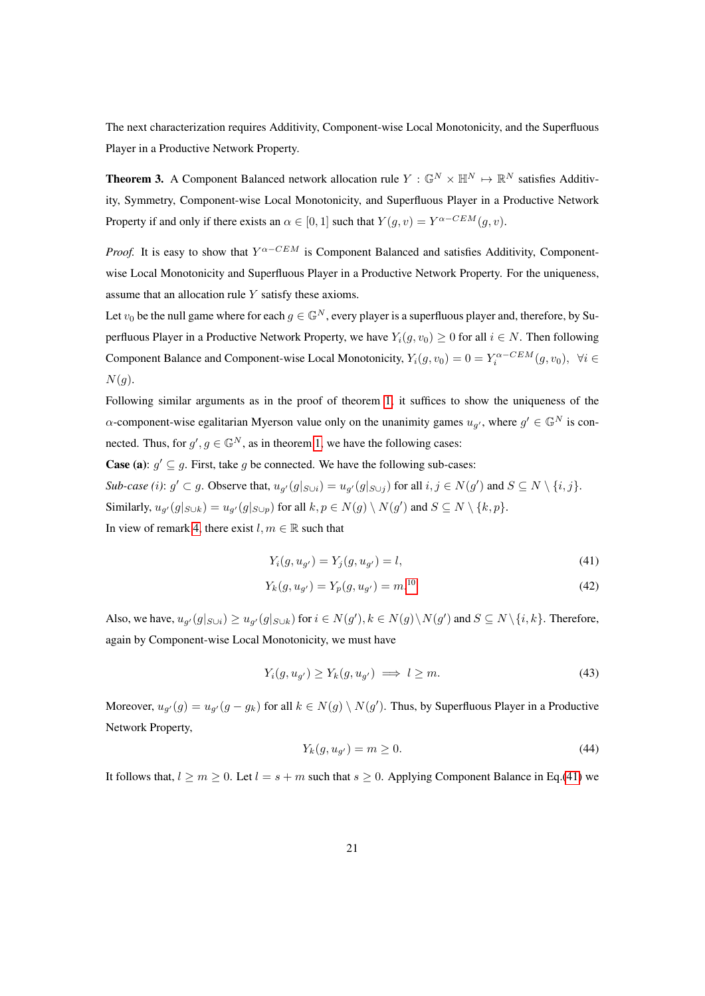The next characterization requires Additivity, Component-wise Local Monotonicity, and the Superfluous Player in a Productive Network Property.

<span id="page-20-1"></span>**Theorem 3.** A Component Balanced network allocation rule  $Y : \mathbb{G}^N \times \mathbb{H}^N \mapsto \mathbb{R}^N$  satisfies Additivity, Symmetry, Component-wise Local Monotonicity, and Superfluous Player in a Productive Network Property if and only if there exists an  $\alpha \in [0, 1]$  such that  $Y(g, v) = Y^{\alpha - CEM}(g, v)$ .

*Proof.* It is easy to show that  $Y^{\alpha-CEM}$  is Component Balanced and satisfies Additivity, Componentwise Local Monotonicity and Superfluous Player in a Productive Network Property. For the uniqueness, assume that an allocation rule Y satisfy these axioms.

Let  $v_0$  be the null game where for each  $g \in \mathbb{G}^N$ , every player is a superfluous player and, therefore, by Superfluous Player in a Productive Network Property, we have  $Y_i(g, v_0) \ge 0$  for all  $i \in N$ . Then following Component Balance and Component-wise Local Monotonicity,  $Y_i(g, v_0) = 0 = Y_i^{\alpha - CEM}(g, v_0)$ ,  $\forall i \in$  $N(g)$ .

Following similar arguments as in the proof of theorem [1,](#page-12-1) it suffices to show the uniqueness of the  $\alpha$ -component-wise egalitarian Myerson value only on the unanimity games  $u_{g'}$ , where  $g' \in \mathbb{G}^N$  is connected. Thus, for  $g'$ ,  $g \in \mathbb{G}^N$ , as in theorem [1,](#page-12-1) we have the following cases:

**Case (a)**:  $g' \subseteq g$ . First, take g be connected. We have the following sub-cases: Sub-case (*i*):  $g' \subset g$ . Observe that,  $u_{g'}(g|_{S \cup i}) = u_{g'}(g|_{S \cup j})$  for all  $i, j \in N(g')$  and  $S \subseteq N \setminus \{i, j\}$ . Similarly,  $u_{g'}(g|_{S\cup k}) = u_{g'}(g|_{S\cup p})$  for all  $k, p \in N(g) \setminus N(g')$  and  $S \subseteq N \setminus \{k, p\}.$ 

In view of remark [4,](#page-11-1) there exist  $l, m \in \mathbb{R}$  such that

<span id="page-20-0"></span>
$$
Y_i(g, u_{g'}) = Y_j(g, u_{g'}) = l,\t\t(41)
$$

$$
Y_k(g, u_{g'}) = Y_p(g, u_{g'}) = m^{10} \tag{42}
$$

Also, we have,  $u_{g'}(g|_{S\cup i}) \geq u_{g'}(g|_{S\cup k})$  for  $i \in N(g'), k \in N(g) \setminus N(g')$  and  $S \subseteq N \setminus \{i, k\}$ . Therefore, again by Component-wise Local Monotonicity, we must have

$$
Y_i(g, u_{g'}) \ge Y_k(g, u_{g'}) \implies l \ge m. \tag{43}
$$

Moreover,  $u_{g'}(g) = u_{g'}(g - g_k)$  for all  $k \in N(g) \setminus N(g')$ . Thus, by Superfluous Player in a Productive Network Property,

$$
Y_k(g, u_{g'}) = m \ge 0. \tag{44}
$$

It follows that,  $l > m > 0$ . Let  $l = s + m$  such that  $s > 0$ . Applying Component Balance in Eq.[\(41\)](#page-20-0) we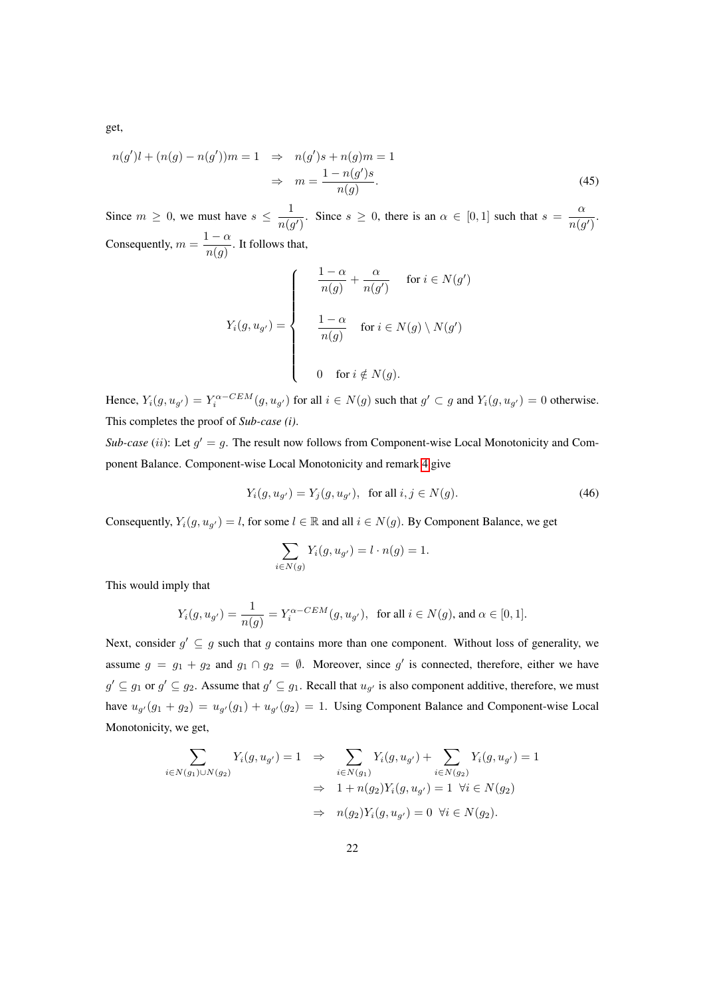get,

$$
n(g')l + (n(g) - n(g'))m = 1 \Rightarrow n(g')s + n(g)m = 1
$$
  

$$
\Rightarrow m = \frac{1 - n(g')s}{n(g)}.
$$
 (45)

Since  $m \geq 0$ , we must have  $s \leq \frac{1}{\sqrt{3}}$  $\frac{1}{n(g')}$ . Since  $s \ge 0$ , there is an  $\alpha \in [0,1]$  such that  $s = \frac{\alpha}{n(g)}$  $\frac{a}{n(g')}$ . Consequently,  $m = \frac{1-\alpha}{\sqrt{2\pi}}$  $\frac{1}{n(g)}$ . It follows that,

$$
Y_i(g, u_{g'}) = \begin{cases} \frac{1-\alpha}{n(g)} + \frac{\alpha}{n(g')} & \text{for } i \in N(g')\\ \frac{1-\alpha}{n(g)} & \text{for } i \in N(g) \setminus N(g')\\ 0 & \text{for } i \notin N(g). \end{cases}
$$

Hence,  $Y_i(g, u_{g'}) = Y_i^{\alpha - CEM}(g, u_{g'})$  for all  $i \in N(g)$  such that  $g' \subset g$  and  $Y_i(g, u_{g'}) = 0$  otherwise. This completes the proof of *Sub-case (i)*.

*Sub-case* (*ii*): Let  $g' = g$ . The result now follows from Component-wise Local Monotonicity and Component Balance. Component-wise Local Monotonicity and remark [4](#page-11-1) give

$$
Y_i(g, u_{g'}) = Y_j(g, u_{g'}), \text{ for all } i, j \in N(g).
$$
 (46)

Consequently,  $Y_i(g, u_{g'}) = l$ , for some  $l \in \mathbb{R}$  and all  $i \in N(g)$ . By Component Balance, we get

$$
\sum_{i \in N(g)} Y_i(g, u_{g'}) = l \cdot n(g) = 1.
$$

This would imply that

$$
Y_i(g,u_{g'})=\frac{1}{n(g)}=Y_i^{\alpha-CEM}(g,u_{g'}),\ \ \text{for all } i\in N(g)\text{, and } \alpha\in[0,1].
$$

Next, consider  $g' \subseteq g$  such that g contains more than one component. Without loss of generality, we assume  $g = g_1 + g_2$  and  $g_1 \cap g_2 = \emptyset$ . Moreover, since g' is connected, therefore, either we have  $g' \subseteq g_1$  or  $g' \subseteq g_2$ . Assume that  $g' \subseteq g_1$ . Recall that  $u_{g'}$  is also component additive, therefore, we must have  $u_{g'}(g_1 + g_2) = u_{g'}(g_1) + u_{g'}(g_2) = 1$ . Using Component Balance and Component-wise Local Monotonicity, we get,

$$
\sum_{i \in N(g_1) \cup N(g_2)} Y_i(g, u_{g'}) = 1 \Rightarrow \sum_{i \in N(g_1)} Y_i(g, u_{g'}) + \sum_{i \in N(g_2)} Y_i(g, u_{g'}) = 1
$$
  

$$
\Rightarrow 1 + n(g_2) Y_i(g, u_{g'}) = 1 \quad \forall i \in N(g_2)
$$
  

$$
\Rightarrow n(g_2) Y_i(g, u_{g'}) = 0 \quad \forall i \in N(g_2).
$$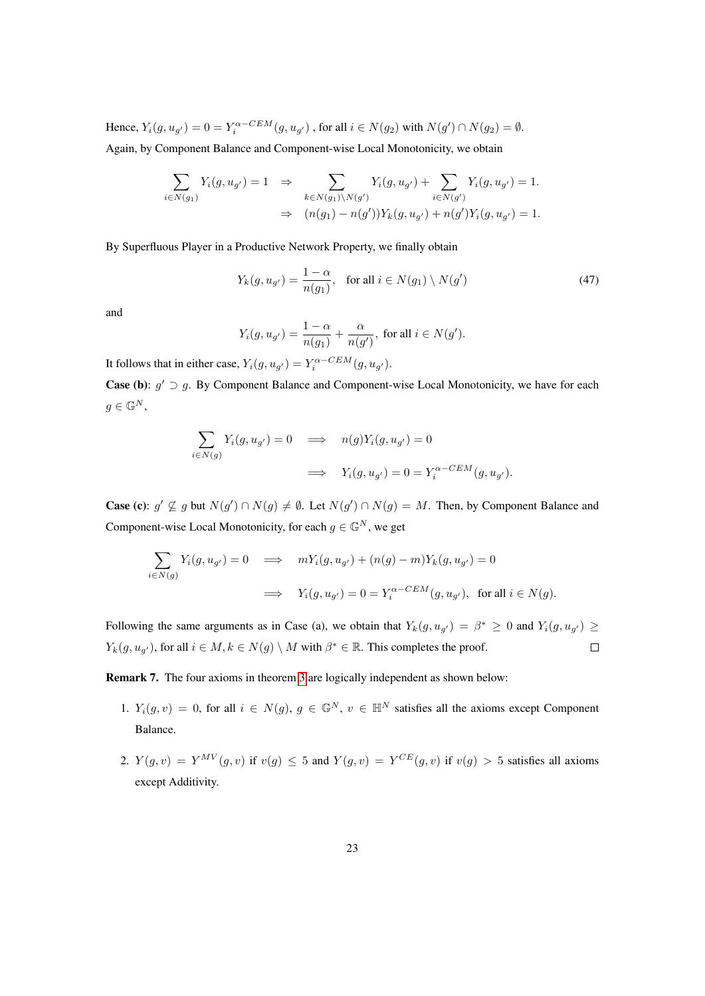Hence,  $Y_i(g, u_{g'}) = 0 = Y_i^{\alpha - CEM}(g, u_{g'})$  , for all  $i \in N(g_2)$  with  $N(g') \cap N(g_2) = \emptyset$ . Again, by Component Balance and Component-wise Local Monotonicity, we obtain

$$
\sum_{i \in N(g_1)} Y_i(g, u_{g'}) = 1 \Rightarrow \sum_{k \in N(g_1) \backslash N(g')} Y_i(g, u_{g'}) + \sum_{i \in N(g')} Y_i(g, u_{g'}) = 1.
$$
  

$$
\Rightarrow (n(g_1) - n(g')) Y_k(g, u_{g'}) + n(g') Y_i(g, u_{g'}) = 1.
$$

By Superfluous Player in a Productive Network Property, we finally obtain

$$
Y_k(g, u_{g'}) = \frac{1 - \alpha}{n(g_1)}, \quad \text{for all } i \in N(g_1) \setminus N(g')
$$
 (47)

and

$$
Y_i(g,u_{g'})=\frac{1-\alpha}{n(g_1)}+\frac{\alpha}{n(g')}, \text{ for all } i\in N(g').
$$

It follows that in either case,  $Y_i(g, u_{g'}) = Y_i^{\alpha - CEM}(g, u_{g'}).$ 

**Case (b):**  $g' \supset g$ . By Component Balance and Component-wise Local Monotonicity, we have for each  $q \in \mathbb{G}^N$ ,

$$
\sum_{i \in N(g)} Y_i(g, u_{g'}) = 0 \implies n(g)Y_i(g, u_{g'}) = 0
$$
  

$$
\implies Y_i(g, u_{g'}) = 0 = Y_i^{\alpha - CEM}(g, u_{g'}).
$$

**Case (c):**  $g' \nsubseteq g$  but  $N(g') \cap N(g) \neq \emptyset$ . Let  $N(g') \cap N(g) = M$ . Then, by Component Balance and Component-wise Local Monotonicity, for each  $q \in \mathbb{G}^N$ , we get

$$
\sum_{i \in N(g)} Y_i(g, u_{g'}) = 0 \quad \Longrightarrow \quad mY_i(g, u_{g'}) + (n(g) - m)Y_k(g, u_{g'}) = 0
$$
  

$$
\Longrightarrow \quad Y_i(g, u_{g'}) = 0 = Y_i^{\alpha - CEM}(g, u_{g'}), \text{ for all } i \in N(g).
$$

Following the same arguments as in Case (a), we obtain that  $Y_k(g, u_{g'}) = \beta^* \geq 0$  and  $Y_i(g, u_{g'}) \geq$  $Y_k(g, u_{g'})$ , for all  $i \in M, k \in N(g) \setminus M$  with  $\beta^* \in \mathbb{R}$ . This completes the proof.  $\Box$ 

Remark 7. The four axioms in theorem [3](#page-20-1) are logically independent as shown below:

- 1.  $Y_i(q, v) = 0$ , for all  $i \in N(q)$ ,  $q \in \mathbb{G}^N$ ,  $v \in \mathbb{H}^N$  satisfies all the axioms except Component Balance.
- 2.  $Y(g, v) = Y^{MV}(g, v)$  if  $v(g) \le 5$  and  $Y(g, v) = Y^{CE}(g, v)$  if  $v(g) > 5$  satisfies all axioms except Additivity.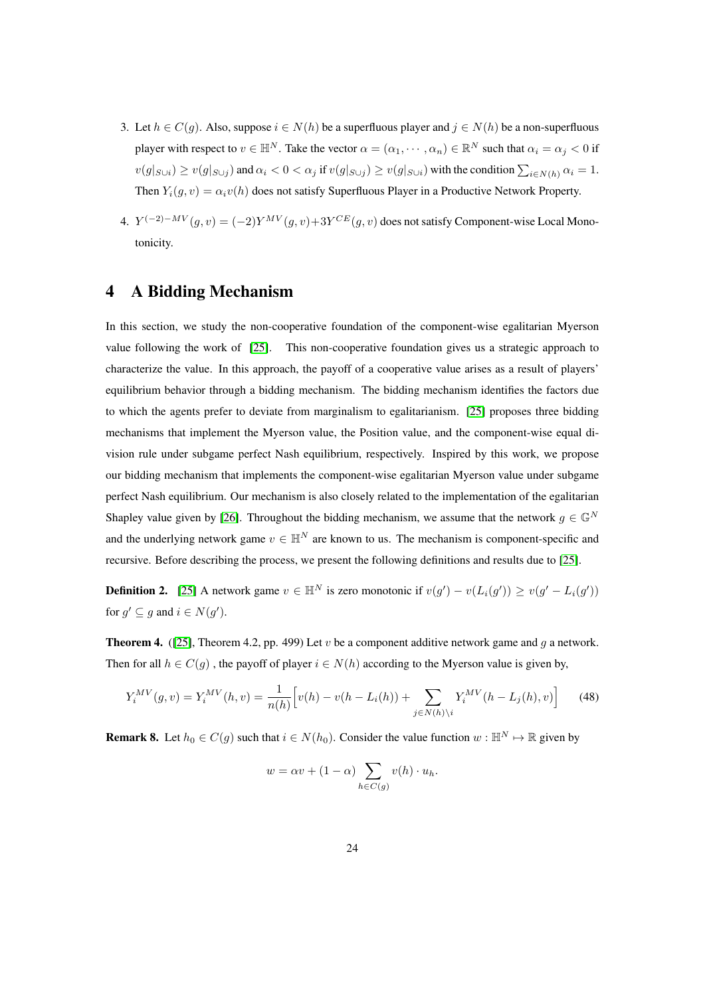- 3. Let  $h \in C(q)$ . Also, suppose  $i \in N(h)$  be a superfluous player and  $j \in N(h)$  be a non-superfluous player with respect to  $v \in \mathbb{H}^N$ . Take the vector  $\alpha = (\alpha_1, \cdots, \alpha_n) \in \mathbb{R}^N$  such that  $\alpha_i = \alpha_j < 0$  if  $v(g|_{S\cup i})\geq v(g|_{S\cup j})$  and  $\alpha_i< 0<\alpha_j$  if  $v(g|_{S\cup j})\geq v(g|_{S\cup i})$  with the condition  $\sum_{i\in N(h)}\alpha_i=1.$ Then  $Y_i(q, v) = \alpha_i v(h)$  does not satisfy Superfluous Player in a Productive Network Property.
- 4.  $Y^{(-2)-MV}(g, v) = (-2)Y^{MV}(g, v) + 3Y^{CE}(g, v)$  does not satisfy Component-wise Local Monotonicity.

## <span id="page-23-0"></span>4 A Bidding Mechanism

In this section, we study the non-cooperative foundation of the component-wise egalitarian Myerson value following the work of [\[25\]](#page-36-1). This non-cooperative foundation gives us a strategic approach to characterize the value. In this approach, the payoff of a cooperative value arises as a result of players' equilibrium behavior through a bidding mechanism. The bidding mechanism identifies the factors due to which the agents prefer to deviate from marginalism to egalitarianism. [\[25\]](#page-36-1) proposes three bidding mechanisms that implement the Myerson value, the Position value, and the component-wise equal division rule under subgame perfect Nash equilibrium, respectively. Inspired by this work, we propose our bidding mechanism that implements the component-wise egalitarian Myerson value under subgame perfect Nash equilibrium. Our mechanism is also closely related to the implementation of the egalitarian Shapley value given by [\[26\]](#page-36-3). Throughout the bidding mechanism, we assume that the network  $q \in \mathbb{G}^N$ and the underlying network game  $v \in \mathbb{H}^N$  are known to us. The mechanism is component-specific and recursive. Before describing the process, we present the following definitions and results due to [\[25\]](#page-36-1).

**Definition 2.** [\[25\]](#page-36-1) A network game  $v \in \mathbb{H}^N$  is zero monotonic if  $v(g') - v(L_i(g')) \ge v(g' - L_i(g'))$ for  $g' \subseteq g$  and  $i \in N(g')$ .

<span id="page-23-2"></span>**Theorem 4.** ([\[25\]](#page-36-1), Theorem 4.2, pp. 499) Let v be a component additive network game and g a network. Then for all  $h \in C(g)$ , the payoff of player  $i \in N(h)$  according to the Myerson value is given by,

$$
Y_i^{MV}(g, v) = Y_i^{MV}(h, v) = \frac{1}{n(h)} \Big[ v(h) - v(h - L_i(h)) + \sum_{j \in N(h)\backslash i} Y_i^{MV}(h - L_j(h), v) \Big] \tag{48}
$$

<span id="page-23-1"></span>**Remark 8.** Let  $h_0 \in C(g)$  such that  $i \in N(h_0)$ . Consider the value function  $w : \mathbb{H}^N \mapsto \mathbb{R}$  given by

$$
w = \alpha v + (1 - \alpha) \sum_{h \in C(g)} v(h) \cdot u_h.
$$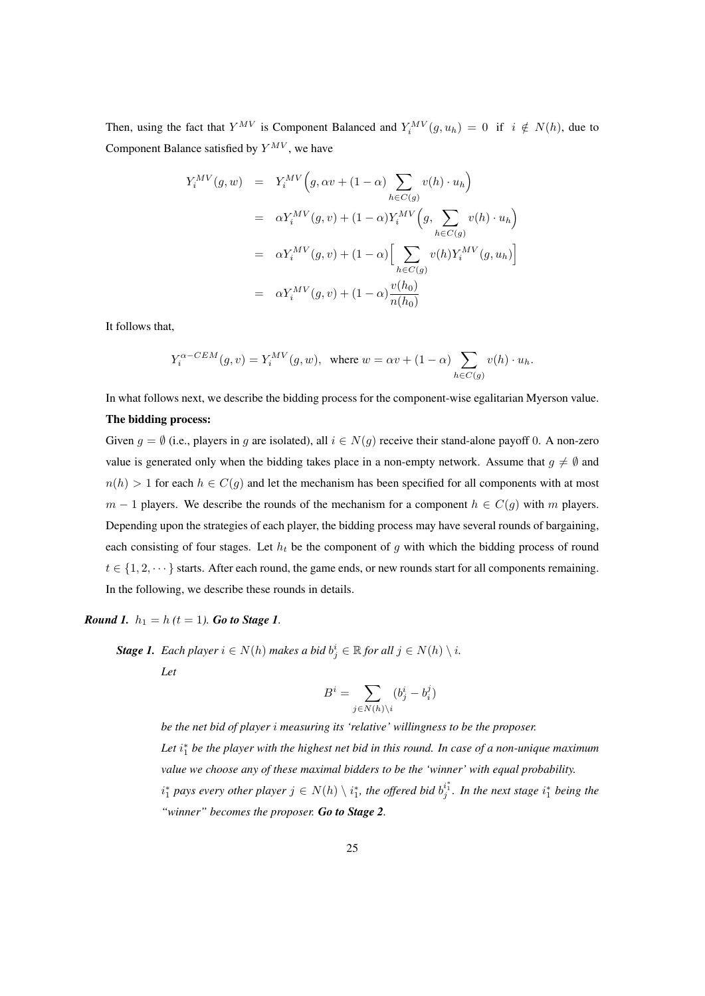Then, using the fact that  $Y^{MV}$  is Component Balanced and  $Y_i^{MV}(g, u_h) = 0$  if  $i \notin N(h)$ , due to Component Balance satisfied by  $Y^{MV}$ , we have

$$
Y_i^{MV}(g, w) = Y_i^{MV}\Big(g, \alpha v + (1 - \alpha) \sum_{h \in C(g)} v(h) \cdot u_h\Big)
$$
  
=  $\alpha Y_i^{MV}(g, v) + (1 - \alpha) Y_i^{MV}\Big(g, \sum_{h \in C(g)} v(h) \cdot u_h\Big)$   
=  $\alpha Y_i^{MV}(g, v) + (1 - \alpha) \Big[\sum_{h \in C(g)} v(h) Y_i^{MV}(g, u_h)\Big]$   
=  $\alpha Y_i^{MV}(g, v) + (1 - \alpha) \frac{v(h_0)}{n(h_0)}$ 

It follows that,

$$
Y_i^{\alpha-CEM}(g, v) = Y_i^{MV}(g, w), \text{ where } w = \alpha v + (1 - \alpha) \sum_{h \in C(g)} v(h) \cdot u_h.
$$

In what follows next, we describe the bidding process for the component-wise egalitarian Myerson value. The bidding process:

Given  $g = \emptyset$  (i.e., players in g are isolated), all  $i \in N(g)$  receive their stand-alone payoff 0. A non-zero value is generated only when the bidding takes place in a non-empty network. Assume that  $g \neq \emptyset$  and  $n(h) > 1$  for each  $h \in C(g)$  and let the mechanism has been specified for all components with at most  $m - 1$  players. We describe the rounds of the mechanism for a component  $h \in C(g)$  with m players. Depending upon the strategies of each player, the bidding process may have several rounds of bargaining, each consisting of four stages. Let  $h_t$  be the component of g with which the bidding process of round  $t \in \{1, 2, \dots\}$  starts. After each round, the game ends, or new rounds start for all components remaining. In the following, we describe these rounds in details.

*Round 1.*  $h_1 = h (t = 1)$ *. Go to Stage 1.* 

*Stage 1. Each player*  $i \in N(h)$  *makes a bid*  $b_j^i \in \mathbb{R}$  *for all*  $j \in N(h) \setminus i$ *.* 

*Let*

$$
B^i = \sum_{j \in N(h) \setminus i} (b^i_j - b^j_i)
$$

*be the net bid of player* i *measuring its 'relative' willingness to be the proposer.* Let  $i_1^*$  be the player with the highest net bid in this round. In case of a non-unique maximum *value we choose any of these maximal bidders to be the 'winner' with equal probability.*  $i_1^*$  pays every other player  $j \in N(h) \setminus i_1^*$ , the offered bid  $b_j^{i_1^*}$ . In the next stage  $i_1^*$  being the *"winner" becomes the proposer. Go to Stage 2.*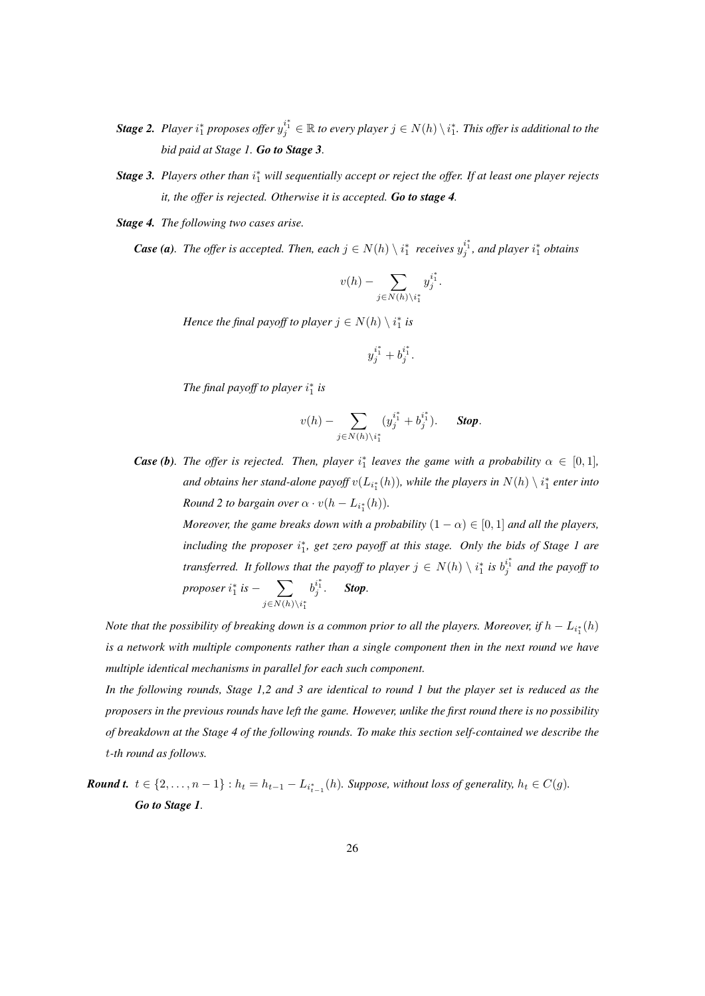- $\pmb{Stage\ 2.}$  Player  $i_1^*$  proposes offer  $y_j^{i_1^*}\in\mathbb{R}$  to every player  $j\in N(h)\setminus i_1^*.$  This offer is additional to the *bid paid at Stage 1. Go to Stage 3.*
- *Stage 3. Players other than* i<sub>1</sub><sup>\*</sup> will sequentially accept or reject the offer. If at least one player rejects *it, the offer is rejected. Otherwise it is accepted. Go to stage 4.*
- *Stage 4. The following two cases arise.*

*Case (a). The offer is accepted. Then, each*  $j \in N(h) \setminus i_1^*$  *receives*  $y_j^{i_1^*}$ *, and player*  $i_1^*$  *obtains* 

$$
v(h) - \sum_{j \in N(h) \setminus i_1^*} y_j^{i_1^*}.
$$

*Hence the final payoff to player*  $j \in N(h) \setminus i_1^*$  *is* 

$$
y_{j}^{i_{1}^{\ast }}+b_{j}^{i_{1}^{\ast }}.
$$

*The final payoff to player*  $i_1^*$  *is* 

$$
v(h) - \sum_{j \in N(h) \setminus i_1^*} (y_j^{i_1^*} + b_j^{i_1^*}). \quad \text{Stop.}
$$

*Case (b). The offer is rejected. Then, player*  $i_1^*$  *leaves the game with a probability*  $\alpha \in [0,1]$ *,* and obtains her stand-alone payoff  $v(L_{i_1^*}(h))$ , while the players in  $N(h) \setminus i_1^*$  enter into *Round 2 to bargain over*  $\alpha \cdot v(h - L_{i_1^*}(h))$ *.* 

> *Moreover, the game breaks down with a probability*  $(1 - \alpha) \in [0, 1]$  *and all the players, including the proposer*  $i_1^*$ , get zero payoff at this stage. Only the bids of Stage 1 are *transferred. It follows that the payoff to player*  $j \in N(h) \setminus i_1^*$  *is*  $b_j^{i_1^*}$  *and the payoff to proposer*  $i_1^*$  *is* −  $\sum$  $j \in N(h) \backslash i_1^*$  $b_j^{i_1^*}$ *.* **Stop**.

*Note that the possibility of breaking down is a common prior to all the players. Moreover, if*  $h - L_{i_1^*}(h)$ *is a network with multiple components rather than a single component then in the next round we have multiple identical mechanisms in parallel for each such component.*

*In the following rounds, Stage 1,2 and 3 are identical to round 1 but the player set is reduced as the proposers in the previous rounds have left the game. However, unlike the first round there is no possibility of breakdown at the Stage 4 of the following rounds. To make this section self-contained we describe the* t*-th round as follows.*

**Round t.**  $t \in \{2, \ldots, n-1\}$  :  $h_t = h_{t-1} - L_{i_{t-1}^*}(h)$ . Suppose, without loss of generality,  $h_t \in C(g)$ . *Go to Stage 1.*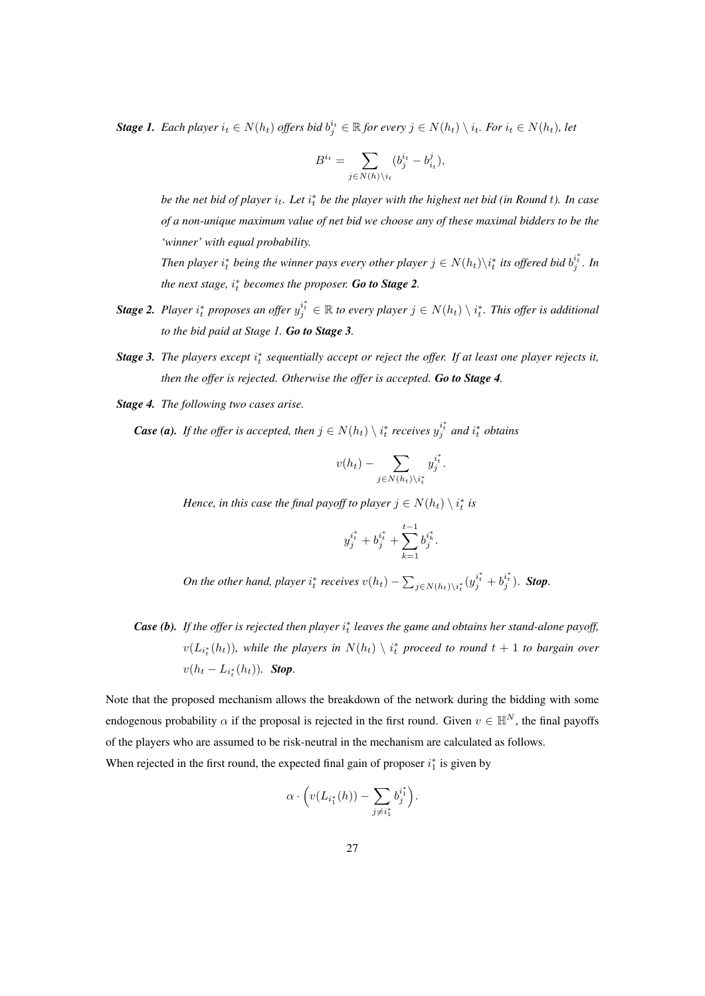**Stage 1.** Each player  $i_t \in N(h_t)$  offers bid  $b_j^{i_t} \in \mathbb{R}$  for every  $j \in N(h_t) \setminus i_t$ . For  $i_t \in N(h_t)$ , let

$$
B^{i_t} = \sum_{j \in N(h) \setminus i_t} (b_j^{i_t} - b_{i_t}^j),
$$

*be the net bid of player*  $i_t$ *. Let*  $i_t^*$  *be the player with the highest net bid (in Round t). In case of a non-unique maximum value of net bid we choose any of these maximal bidders to be the 'winner' with equal probability.*

*Then player*  $i_t^*$  *being the winner pays every other player*  $j \in N(h_t) \backslash i_t^*$  *its offered bid*  $b_j^{i_t^*}$ *. In the next stage,*  $i_t^*$  *becomes the proposer.* Go to Stage 2.

- **Stage 2.** Player i<sub>t</sub><sup>\*</sup> proposes an offer  $y_j^{i_*^*} \in \mathbb{R}$  to every player  $j \in N(h_t) \setminus i_t^*$ . This offer is additional *to the bid paid at Stage 1. Go to Stage 3.*
- *Stage 3. The players except i<sub>t</sub> sequentially accept or reject the offer. If at least one player rejects it, then the offer is rejected. Otherwise the offer is accepted. Go to Stage 4.*
- *Stage 4. The following two cases arise.*

*Case (a).* If the offer is accepted, then  $j \in N(h_t) \setminus i_t^*$  receives  $y_j^{i_t^*}$  and  $i_t^*$  obtains

$$
v(h_t) - \sum_{j \in N(h_t) \setminus i_t^*} y_j^{i_t^*}.
$$

*Hence, in this case the final payoff to player*  $j \in N(h_t) \setminus i_t^*$  *is* 

$$
y_j^{i_t^*} + b_j^{i_t^*} + \sum_{k=1}^{t-1} b_j^{i_k^*}.
$$

*On the other hand, player*  $i_t^*$  *receives*  $v(h_t) - \sum_{j \in N(h_t)\setminus i_t^*} (y_j^{i_t^*} + b_j^{i_t^*})$ *. Stop.* 

*Case (b).* If the offer is rejected then player  $i_t^*$  leaves the game and obtains her stand-alone payoff,  $v(L_{i_t^*}(h_t))$ , while the players in  $N(h_t) \setminus i_t^*$  proceed to round  $t + 1$  to bargain over  $v(h_t - L_{i_t^*}(h_t)).$  **Stop**.

Note that the proposed mechanism allows the breakdown of the network during the bidding with some endogenous probability  $\alpha$  if the proposal is rejected in the first round. Given  $v \in \mathbb{H}^N$ , the final payoffs of the players who are assumed to be risk-neutral in the mechanism are calculated as follows. When rejected in the first round, the expected final gain of proposer  $i_1^*$  is given by

$$
\alpha \cdot \Biggl( v(L_{i_1^*}(h)) - \sum_{j \neq i_1^*} b_j^{i_1^*} \Biggr).
$$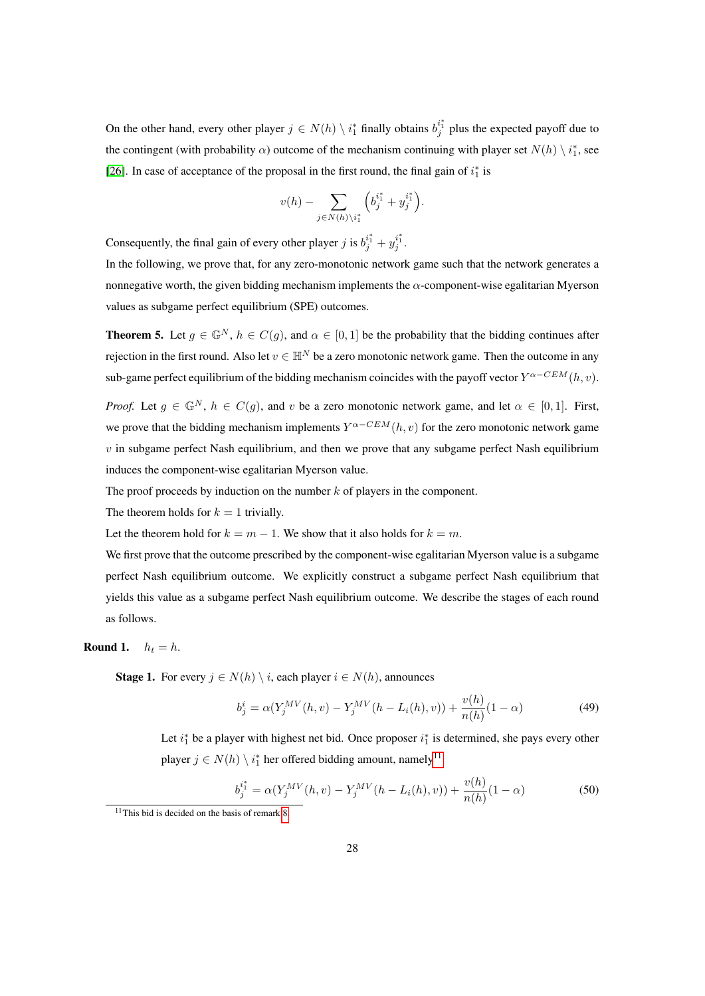On the other hand, every other player  $j \in N(h) \setminus i_1^*$  finally obtains  $b_j^{i_1^*}$  plus the expected payoff due to the contingent (with probability  $\alpha$ ) outcome of the mechanism continuing with player set  $N(h) \setminus i_1^*$ , see [\[26\]](#page-36-3). In case of acceptance of the proposal in the first round, the final gain of  $i_1^*$  is

$$
v(h) - \sum_{j \in N(h) \setminus i_1^*} \left( b_j^{i_1^*} + y_j^{i_1^*} \right).
$$

Consequently, the final gain of every other player j is  $b_j^{i_1^*} + y_j^{i_1^*}$ .

In the following, we prove that, for any zero-monotonic network game such that the network generates a nonnegative worth, the given bidding mechanism implements the  $\alpha$ -component-wise egalitarian Myerson values as subgame perfect equilibrium (SPE) outcomes.

**Theorem 5.** Let  $q \in \mathbb{G}^N$ ,  $h \in C(q)$ , and  $\alpha \in [0,1]$  be the probability that the bidding continues after rejection in the first round. Also let  $v \in \mathbb{H}^N$  be a zero monotonic network game. Then the outcome in any sub-game perfect equilibrium of the bidding mechanism coincides with the payoff vector  $Y^{\alpha-CEM}(h, v)$ .

*Proof.* Let  $g \in \mathbb{G}^N$ ,  $h \in C(g)$ , and v be a zero monotonic network game, and let  $\alpha \in [0,1]$ . First, we prove that the bidding mechanism implements  $Y^{\alpha-CEM}(h, v)$  for the zero monotonic network game  $v$  in subgame perfect Nash equilibrium, and then we prove that any subgame perfect Nash equilibrium induces the component-wise egalitarian Myerson value.

The proof proceeds by induction on the number  $k$  of players in the component.

The theorem holds for  $k = 1$  trivially.

Let the theorem hold for  $k = m - 1$ . We show that it also holds for  $k = m$ .

We first prove that the outcome prescribed by the component-wise egalitarian Myerson value is a subgame perfect Nash equilibrium outcome. We explicitly construct a subgame perfect Nash equilibrium that yields this value as a subgame perfect Nash equilibrium outcome. We describe the stages of each round as follows.

#### **Round 1.**  $h_t = h$ .

**Stage 1.** For every  $j \in N(h) \setminus i$ , each player  $i \in N(h)$ , announces

$$
b_j^i = \alpha(Y_j^{MV}(h, v) - Y_j^{MV}(h - L_i(h), v)) + \frac{v(h)}{n(h)}(1 - \alpha)
$$
\n(49)

Let  $i_1^*$  be a player with highest net bid. Once proposer  $i_1^*$  is determined, she pays every other player  $j \in N(h) \setminus i_1^*$  her offered bidding amount, namely<sup>[11](#page-27-0)</sup>

$$
b_j^{i_1^*} = \alpha(Y_j^{MV}(h, v) - Y_j^{MV}(h - L_i(h), v)) + \frac{v(h)}{n(h)}(1 - \alpha)
$$
\n(50)

<span id="page-27-0"></span> $11$ This bid is decided on the basis of remark [8.](#page-23-1)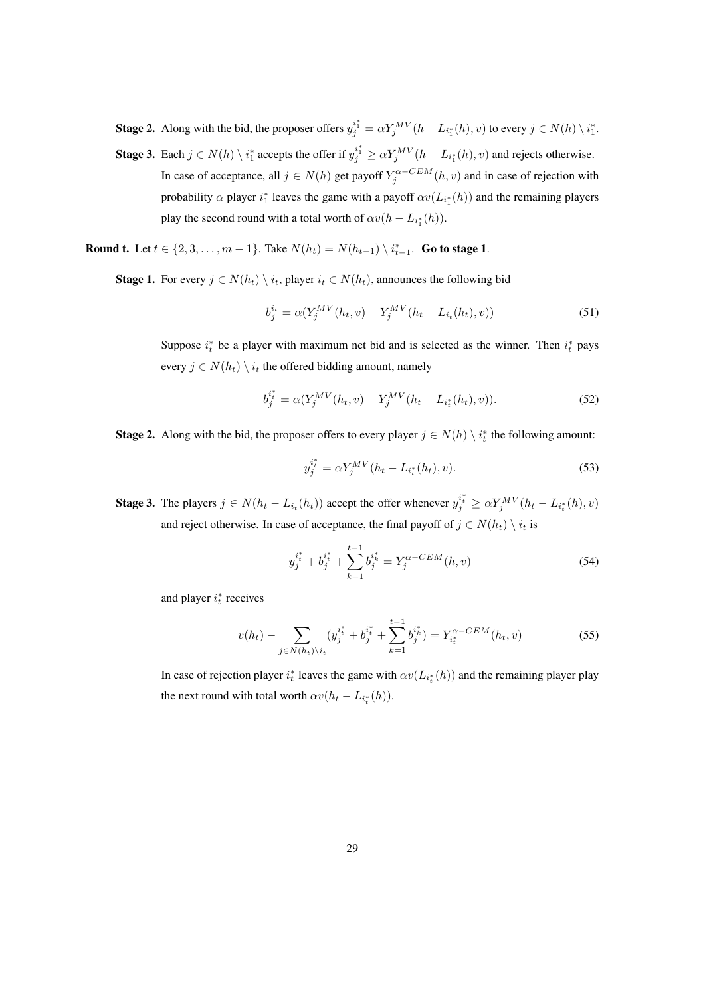**Stage 2.** Along with the bid, the proposer offers  $y_j^{i_1^*} = \alpha Y_j^{MV}(h - L_{i_1^*}(h), v)$  to every  $j \in N(h) \setminus i_1^*$ . **Stage 3.** Each  $j \in N(h) \setminus i_1^*$  accepts the offer if  $y_j^{i_1^*} \ge \alpha Y_j^{MV}(h - L_{i_1^*}(h), v)$  and rejects otherwise. In case of acceptance, all  $j \in N(h)$  get payoff  $Y_j^{\alpha-CEM}(h, v)$  and in case of rejection with probability  $\alpha$  player  $i_1^*$  leaves the game with a payoff  $\alpha v(L_{i_1^*}(h))$  and the remaining players play the second round with a total worth of  $\alpha v(h - L_{i_1^*}(h))$ .

**Round t.** Let  $t \in \{2, 3, ..., m-1\}$ . Take  $N(h_t) = N(h_{t-1}) \setminus i_{t-1}^*$ . **Go to stage 1**.

**Stage 1.** For every  $j \in N(h_t) \setminus i_t$ , player  $i_t \in N(h_t)$ , announces the following bid

$$
b_j^{i_t} = \alpha(Y_j^{MV}(h_t, v) - Y_j^{MV}(h_t - L_{i_t}(h_t), v))
$$
\n(51)

Suppose  $i_t^*$  be a player with maximum net bid and is selected as the winner. Then  $i_t^*$  pays every  $j \in N(h_t) \setminus i_t$  the offered bidding amount, namely

$$
b_j^{i_t^*} = \alpha(Y_j^{MV}(h_t, v) - Y_j^{MV}(h_t - L_{i_t^*}(h_t), v)).
$$
\n(52)

**Stage 2.** Along with the bid, the proposer offers to every player  $j \in N(h) \setminus i_t^*$  the following amount:

$$
y_j^{i_t^*} = \alpha Y_j^{MV} (h_t - L_{i_t^*}(h_t), v).
$$
\n(53)

**Stage 3.** The players  $j \in N(h_t - L_{i_t}(h_t))$  accept the offer whenever  $y_j^{i_t^*} \ge \alpha Y_j^{MV}(h_t - L_{i_t^*}(h), v)$ and reject otherwise. In case of acceptance, the final payoff of  $j \in N(h_t) \setminus i_t$  is

$$
y_j^{i_t^*} + b_j^{i_t^*} + \sum_{k=1}^{t-1} b_j^{i_k^*} = Y_j^{\alpha - CEM}(h, v)
$$
 (54)

and player  $i_t^*$  receives

$$
v(h_t) - \sum_{j \in N(h_t)\backslash i_t} (y_j^{i_t^*} + b_j^{i_t^*} + \sum_{k=1}^{t-1} b_j^{i_k^*}) = Y_{i_t^*}^{\alpha - CEM}(h_t, v)
$$
 (55)

In case of rejection player  $i_t^*$  leaves the game with  $\alpha v(L_{i_t^*}(h))$  and the remaining player play the next round with total worth  $\alpha v(h_t - L_{i_t^*}(h))$ .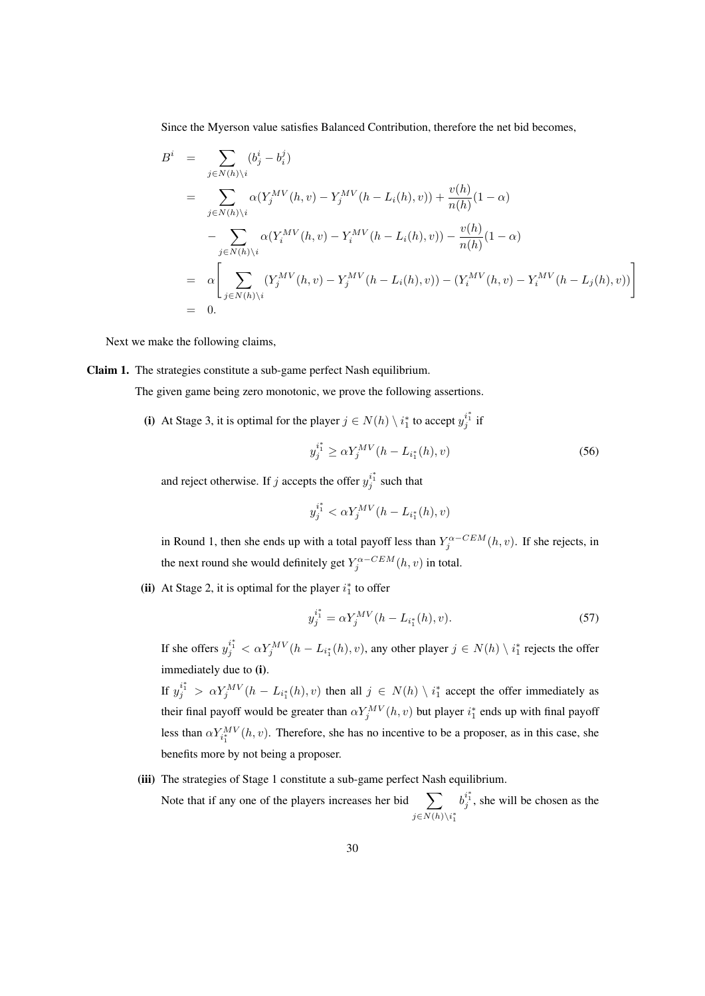Since the Myerson value satisfies Balanced Contribution, therefore the net bid becomes,

$$
B^{i} = \sum_{j \in N(h)\backslash i} (b_{j}^{i} - b_{i}^{j})
$$
  
\n
$$
= \sum_{j \in N(h)\backslash i} \alpha(Y_{j}^{MV}(h, v) - Y_{j}^{MV}(h - L_{i}(h), v)) + \frac{v(h)}{n(h)}(1 - \alpha)
$$
  
\n
$$
- \sum_{j \in N(h)\backslash i} \alpha(Y_{i}^{MV}(h, v) - Y_{i}^{MV}(h - L_{i}(h), v)) - \frac{v(h)}{n(h)}(1 - \alpha)
$$
  
\n
$$
= \alpha \left[ \sum_{j \in N(h)\backslash i} (Y_{j}^{MV}(h, v) - Y_{j}^{MV}(h - L_{i}(h), v)) - (Y_{i}^{MV}(h, v) - Y_{i}^{MV}(h - L_{j}(h), v)) \right]
$$
  
\n
$$
= 0.
$$

Next we make the following claims,

#### Claim 1. The strategies constitute a sub-game perfect Nash equilibrium.

The given game being zero monotonic, we prove the following assertions.

(i) At Stage 3, it is optimal for the player  $j \in N(h) \setminus i_1^*$  to accept  $y_j^{i_1^*}$  if

$$
y_j^{i_1^*} \ge \alpha Y_j^{MV}(h - L_{i_1^*}(h), v) \tag{56}
$$

and reject otherwise. If j accepts the offer  $y_j^{i_1^*}$  such that

$$
y_j^{i_1^*} < \alpha Y_j^{MV}(h - L_{i_1^*}(h), v)
$$

in Round 1, then she ends up with a total payoff less than  $Y_j^{\alpha-CEM}(h, v)$ . If she rejects, in the next round she would definitely get  $Y_j^{\alpha-CEM}(h, v)$  in total.

(ii) At Stage 2, it is optimal for the player  $i_1^*$  to offer

$$
y_j^{i_1^*} = \alpha Y_j^{MV} (h - L_{i_1^*}(h), v).
$$
\n(57)

If she offers  $y_j^{i_1^*} < \alpha Y_j^{MV} (h - L_{i_1^*}(h), v)$ , any other player  $j \in N(h) \setminus i_1^*$  rejects the offer immediately due to (i).

If  $y_j^{i^*} > \alpha Y_j^{MV}(h - L_{i^*_{1}}(h), v)$  then all  $j \in N(h) \setminus i^*_{1}$  accept the offer immediately as their final payoff would be greater than  $\alpha Y_j^{MV}(h, v)$  but player  $i_1^*$  ends up with final payoff less than  $\alpha Y_{i_1^*}^{MV}(h, v)$ . Therefore, she has no incentive to be a proposer, as in this case, she benefits more by not being a proposer.

(iii) The strategies of Stage 1 constitute a sub-game perfect Nash equilibrium.

Note that if any one of the players increases her bid  $\sum$  $j \in N(h) \backslash i_1^*$  $b_j^{i_1^*}$ , she will be chosen as the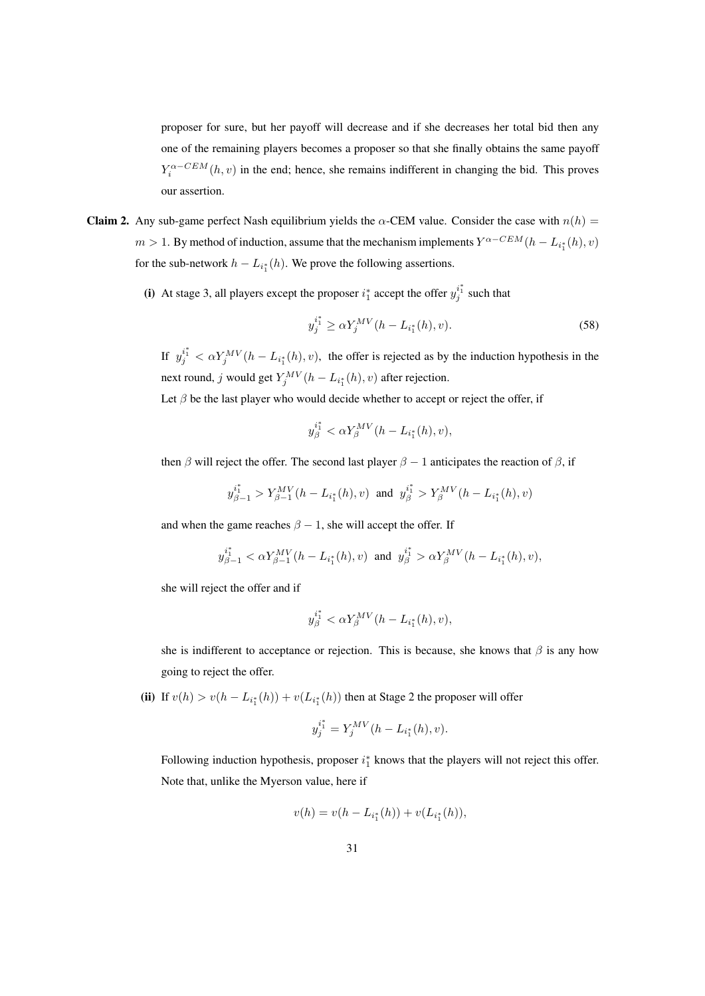proposer for sure, but her payoff will decrease and if she decreases her total bid then any one of the remaining players becomes a proposer so that she finally obtains the same payoff  $Y_i^{\alpha-CEM}(h, v)$  in the end; hence, she remains indifferent in changing the bid. This proves our assertion.

- Claim 2. Any sub-game perfect Nash equilibrium yields the  $\alpha$ -CEM value. Consider the case with  $n(h)$  =  $m > 1$ . By method of induction, assume that the mechanism implements  $Y^{\alpha-CEM}(h - L_{i_1^*}(h), v)$ for the sub-network  $h - L_{i_1^*}(h)$ . We prove the following assertions.
	- (i) At stage 3, all players except the proposer  $i_1^*$  accept the offer  $y_j^{i_1^*}$  such that

$$
y_j^{i_1^*} \ge \alpha Y_j^{MV}(h - L_{i_1^*}(h), v). \tag{58}
$$

If  $y_j^{i_1^*} < \alpha Y_j^{MV} (h - L_{i_1^*}(h), v)$ , the offer is rejected as by the induction hypothesis in the next round, j would get  $Y_j^{MV}(h - L_{i_1^*}(h), v)$  after rejection.

Let  $\beta$  be the last player who would decide whether to accept or reject the offer, if

$$
y_{\beta}^{i_1^*} < \alpha Y_{\beta}^{MV}(h - L_{i_1^*}(h), v),
$$

then  $\beta$  will reject the offer. The second last player  $\beta - 1$  anticipates the reaction of  $\beta$ , if

$$
y_{\beta-1}^{i_1^*} > Y_{\beta-1}^{MV}(h - L_{i_1^*}(h), v)
$$
 and  $y_{\beta}^{i_1^*} > Y_{\beta}^{MV}(h - L_{i_1^*}(h), v)$ 

and when the game reaches  $\beta - 1$ , she will accept the offer. If

$$
y_{\beta-1}^{i_1^*} < \alpha Y_{\beta-1}^{MV}(h - L_{i_1^*}(h), v)
$$
 and  $y_{\beta}^{i_1^*} > \alpha Y_{\beta}^{MV}(h - L_{i_1^*}(h), v),$ 

she will reject the offer and if

$$
y_{\beta}^{i_1^*} < \alpha Y_{\beta}^{MV}(h - L_{i_1^*}(h), v),
$$

she is indifferent to acceptance or rejection. This is because, she knows that  $\beta$  is any how going to reject the offer.

(ii) If  $v(h) > v(h - L_{i_1^*}(h)) + v(L_{i_1^*}(h))$  then at Stage 2 the proposer will offer

$$
y_j^{i_1^*} = Y_j^{MV}(h - L_{i_1^*}(h), v).
$$

Following induction hypothesis, proposer  $i_1^*$  knows that the players will not reject this offer. Note that, unlike the Myerson value, here if

$$
v(h) = v(h - L_{i_1^*}(h)) + v(L_{i_1^*}(h)),
$$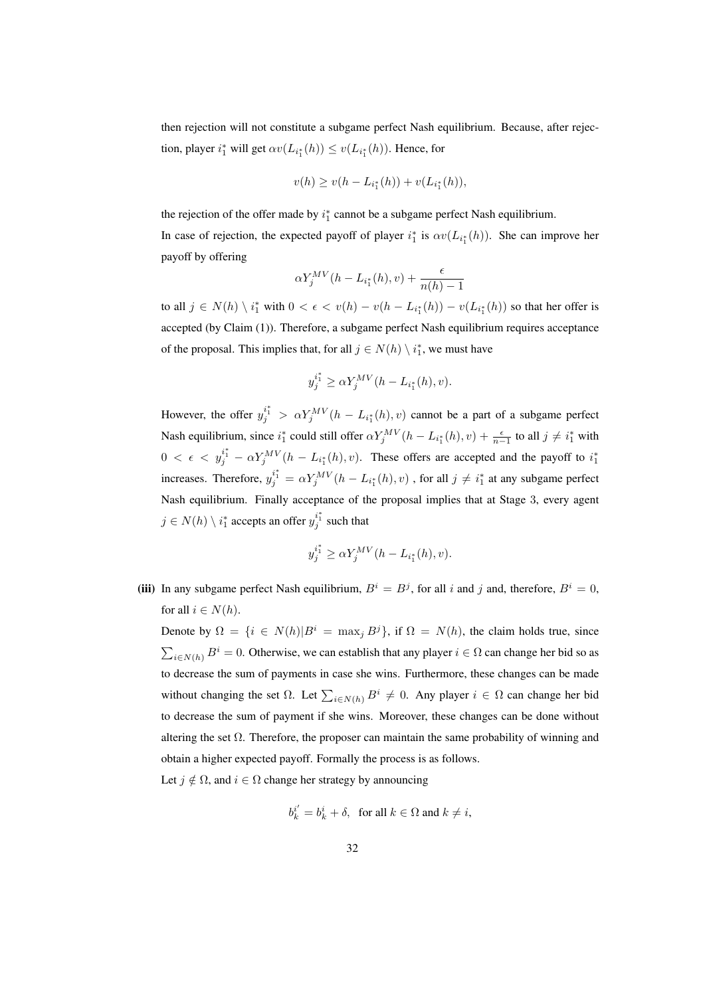then rejection will not constitute a subgame perfect Nash equilibrium. Because, after rejection, player  $i_1^*$  will get  $\alpha v(L_{i_1^*}(h)) \le v(L_{i_1^*}(h))$ . Hence, for

$$
v(h) \ge v(h - L_{i_1^*}(h)) + v(L_{i_1^*}(h)),
$$

the rejection of the offer made by  $i_1^*$  cannot be a subgame perfect Nash equilibrium. In case of rejection, the expected payoff of player  $i_1^*$  is  $\alpha v(L_{i_1^*}(h))$ . She can improve her payoff by offering

$$
\alpha Y_j^{MV}(h - L_{i_1^*}(h), v) + \frac{\epsilon}{n(h) - 1}
$$

to all  $j \in N(h) \setminus i_1^*$  with  $0 < \epsilon < v(h) - v(h - L_{i_1^*}(h)) - v(L_{i_1^*}(h))$  so that her offer is accepted (by Claim (1)). Therefore, a subgame perfect Nash equilibrium requires acceptance of the proposal. This implies that, for all  $j \in N(h) \setminus i_1^*$ , we must have

$$
y_j^{i_1^*} \ge \alpha Y_j^{MV}(h - L_{i_1^*}(h), v).
$$

However, the offer  $y_j^{i_1^*} > \alpha Y_j^{MV}(h - L_{i_1^*}(h), v)$  cannot be a part of a subgame perfect Nash equilibrium, since  $i_1^*$  could still offer  $\alpha Y_j^{MV}(h - L_{i_1^*}(h), v) + \frac{\epsilon}{n-1}$  to all  $j \neq i_1^*$  with  $0 < \epsilon < y_j^{i_1^*} - \alpha Y_j^{MV} (h - L_{i_1^*}(h), v)$ . These offers are accepted and the payoff to  $i_1^*$ increases. Therefore,  $y_j^{i_1^*} = \alpha Y_j^{MV}(h - L_{i_1^*}(h), v)$ , for all  $j \neq i_1^*$  at any subgame perfect Nash equilibrium. Finally acceptance of the proposal implies that at Stage 3, every agent  $j \in N(h) \setminus i_1^*$  accepts an offer  $y_j^{i_1^*}$  such that

$$
y_j^{i_1^*} \ge \alpha Y_j^{MV}(h - L_{i_1^*}(h), v).
$$

(iii) In any subgame perfect Nash equilibrium,  $B^i = B^j$ , for all i and j and, therefore,  $B^i = 0$ , for all  $i \in N(h)$ .

Denote by  $\Omega = \{i \in N(h)|B^i = \max_j B^j\}$ , if  $\Omega = N(h)$ , the claim holds true, since  $\sum_{i\in N(h)} B^i = 0$ . Otherwise, we can establish that any player  $i \in \Omega$  can change her bid so as to decrease the sum of payments in case she wins. Furthermore, these changes can be made without changing the set  $\Omega$ . Let  $\sum_{i\in N(h)} B^i \neq 0$ . Any player  $i \in \Omega$  can change her bid to decrease the sum of payment if she wins. Moreover, these changes can be done without altering the set  $\Omega$ . Therefore, the proposer can maintain the same probability of winning and obtain a higher expected payoff. Formally the process is as follows.

Let  $j \notin \Omega$ , and  $i \in \Omega$  change her strategy by announcing

$$
b_k^{i'}=b_k^i+\delta, \ \ \text{for all } k\in \Omega \text{ and } k\neq i,
$$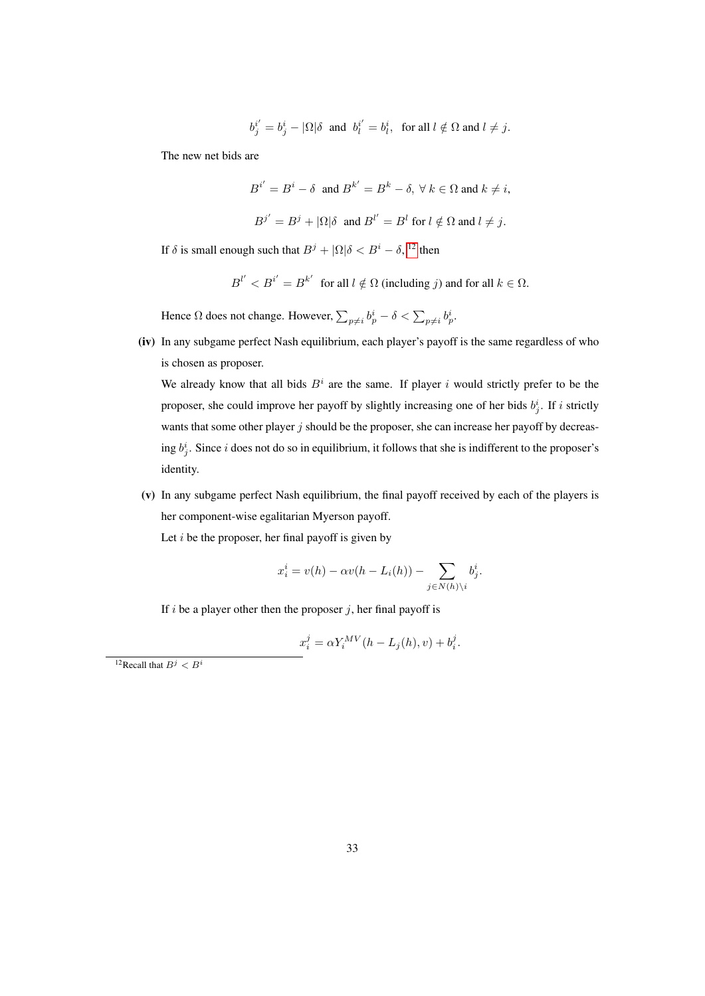$$
b_j^{i'} = b_j^i - |\Omega|\delta \text{ and } b_l^{i'} = b_l^i, \text{ for all } l \notin \Omega \text{ and } l \neq j.
$$

The new net bids are

$$
B^{i'} = B^i - \delta \text{ and } B^{k'} = B^k - \delta, \ \forall \ k \in \Omega \text{ and } k \neq i,
$$
  

$$
B^{j'} = B^j + |\Omega|\delta \text{ and } B^{l'} = B^l \text{ for } l \notin \Omega \text{ and } l \neq j.
$$

If  $\delta$  is small enough such that  $B^j + |\Omega|\delta < B^i - \delta$ , <sup>[12](#page-32-0)</sup> then

$$
B^{l'} < B^{i'} = B^{k'}
$$
 for all  $l \notin \Omega$  (including *j*) and for all  $k \in \Omega$ .

Hence  $\Omega$  does not change. However,  $\sum_{p\neq i} b_p^i - \delta < \sum_{p\neq i} b_p^i$ .

(iv) In any subgame perfect Nash equilibrium, each player's payoff is the same regardless of who is chosen as proposer.

We already know that all bids  $B^i$  are the same. If player i would strictly prefer to be the proposer, she could improve her payoff by slightly increasing one of her bids  $b_j^i$ . If i strictly wants that some other player  $j$  should be the proposer, she can increase her payoff by decreasing  $b_j^i$ . Since *i* does not do so in equilibrium, it follows that she is indifferent to the proposer's identity.

(v) In any subgame perfect Nash equilibrium, the final payoff received by each of the players is her component-wise egalitarian Myerson payoff.

Let  $i$  be the proposer, her final payoff is given by

$$
x_i^i = v(h) - \alpha v(h - L_i(h)) - \sum_{j \in N(h) \setminus i} b_j^i.
$$

If  $i$  be a player other then the proposer  $j$ , her final payoff is

$$
x_i^j = \alpha Y_i^{MV}(h - L_j(h), v) + b_i^j.
$$

<span id="page-32-0"></span><sup>&</sup>lt;sup>12</sup>Recall that  $B^j < B^i$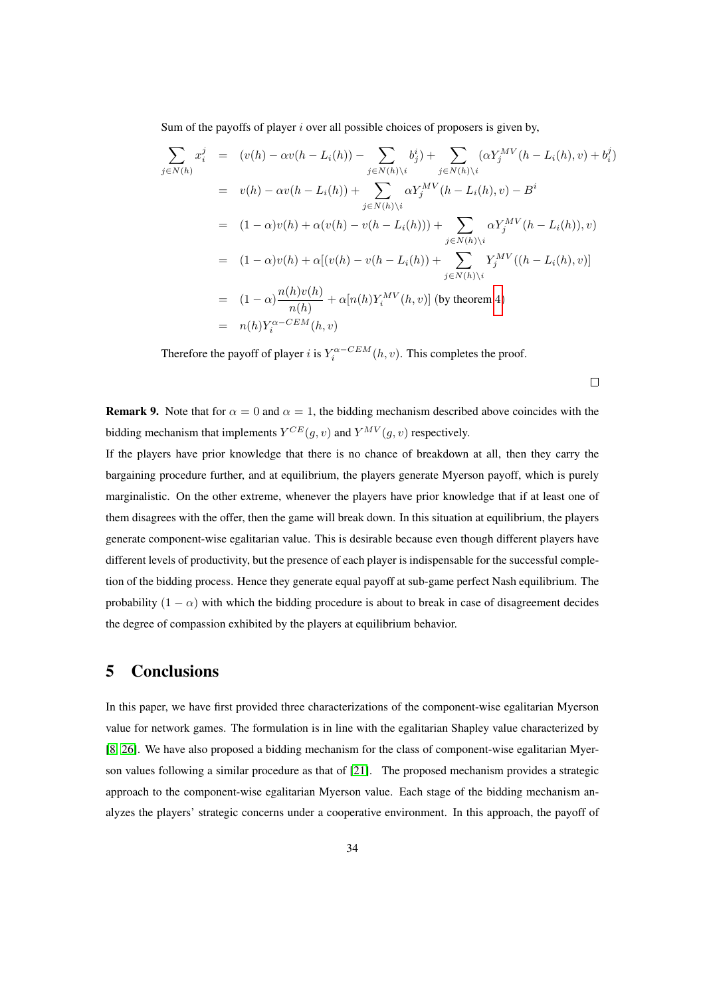Sum of the payoffs of player  $i$  over all possible choices of proposers is given by,

$$
\sum_{j \in N(h)} x_i^j = (v(h) - \alpha v(h - L_i(h)) - \sum_{j \in N(h)\backslash i} b_j^i) + \sum_{j \in N(h)\backslash i} (\alpha Y_j^{MV}(h - L_i(h), v) + b_i^j)
$$
\n
$$
= v(h) - \alpha v(h - L_i(h)) + \sum_{j \in N(h)\backslash i} \alpha Y_j^{MV}(h - L_i(h), v) - B^i
$$
\n
$$
= (1 - \alpha)v(h) + \alpha(v(h) - v(h - L_i(h))) + \sum_{j \in N(h)\backslash i} \alpha Y_j^{MV}(h - L_i(h)), v)
$$
\n
$$
= (1 - \alpha)v(h) + \alpha[(v(h) - v(h - L_i(h)) + \sum_{j \in N(h)\backslash i} Y_j^{MV}((h - L_i(h), v))]
$$
\n
$$
= (1 - \alpha) \frac{n(h)v(h)}{n(h)} + \alpha[n(h)Y_i^{MV}(h, v)] \text{ (by theorem 4)}
$$
\n
$$
= n(h)Y_i^{\alpha - CEM}(h, v)
$$

Therefore the payoff of player *i* is  $Y_i^{\alpha-CEM}(h, v)$ . This completes the proof.

 $\Box$ 

**Remark 9.** Note that for  $\alpha = 0$  and  $\alpha = 1$ , the bidding mechanism described above coincides with the bidding mechanism that implements  $Y^{CE}(g, v)$  and  $Y^{MV}(g, v)$  respectively.

If the players have prior knowledge that there is no chance of breakdown at all, then they carry the bargaining procedure further, and at equilibrium, the players generate Myerson payoff, which is purely marginalistic. On the other extreme, whenever the players have prior knowledge that if at least one of them disagrees with the offer, then the game will break down. In this situation at equilibrium, the players generate component-wise egalitarian value. This is desirable because even though different players have different levels of productivity, but the presence of each player is indispensable for the successful completion of the bidding process. Hence they generate equal payoff at sub-game perfect Nash equilibrium. The probability  $(1 - \alpha)$  with which the bidding procedure is about to break in case of disagreement decides the degree of compassion exhibited by the players at equilibrium behavior.

## <span id="page-33-0"></span>5 Conclusions

In this paper, we have first provided three characterizations of the component-wise egalitarian Myerson value for network games. The formulation is in line with the egalitarian Shapley value characterized by [\[8,](#page-35-9) [26\]](#page-36-3). We have also proposed a bidding mechanism for the class of component-wise egalitarian Myerson values following a similar procedure as that of [\[21\]](#page-35-4). The proposed mechanism provides a strategic approach to the component-wise egalitarian Myerson value. Each stage of the bidding mechanism analyzes the players' strategic concerns under a cooperative environment. In this approach, the payoff of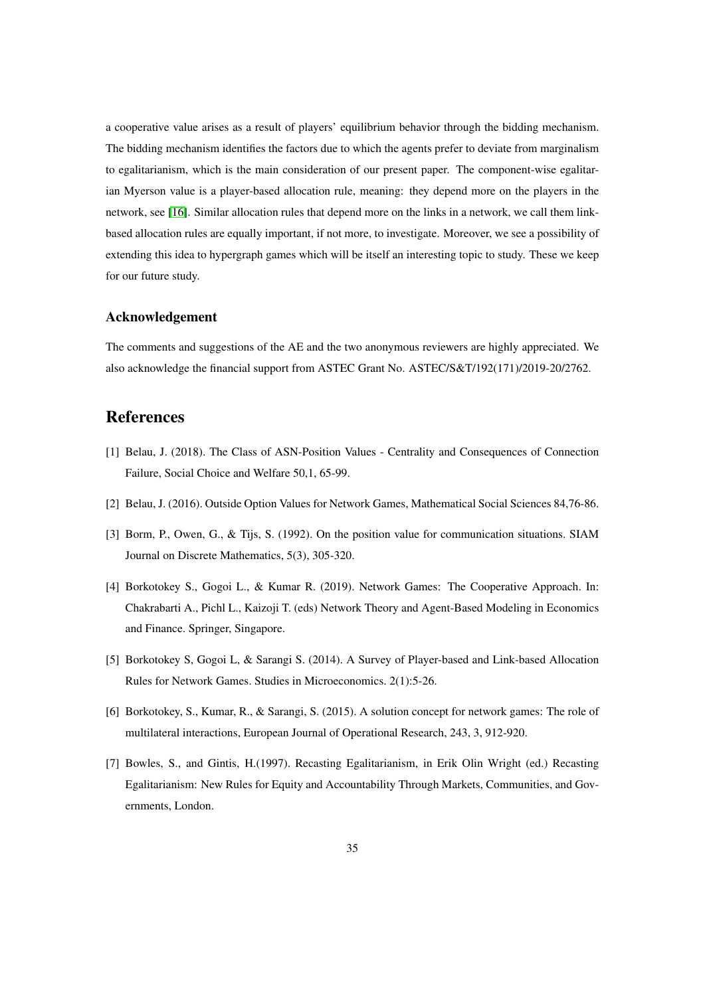a cooperative value arises as a result of players' equilibrium behavior through the bidding mechanism. The bidding mechanism identifies the factors due to which the agents prefer to deviate from marginalism to egalitarianism, which is the main consideration of our present paper. The component-wise egalitarian Myerson value is a player-based allocation rule, meaning: they depend more on the players in the network, see [\[16\]](#page-35-2). Similar allocation rules that depend more on the links in a network, we call them linkbased allocation rules are equally important, if not more, to investigate. Moreover, we see a possibility of extending this idea to hypergraph games which will be itself an interesting topic to study. These we keep for our future study.

#### Acknowledgement

The comments and suggestions of the AE and the two anonymous reviewers are highly appreciated. We also acknowledge the financial support from ASTEC Grant No. ASTEC/S&T/192(171)/2019-20/2762.

## References

- <span id="page-34-4"></span>[1] Belau, J. (2018). The Class of ASN-Position Values - Centrality and Consequences of Connection Failure, Social Choice and Welfare 50,1, 65-99.
- <span id="page-34-5"></span>[2] Belau, J. (2016). Outside Option Values for Network Games, Mathematical Social Sciences 84,76-86.
- <span id="page-34-0"></span>[3] Borm, P., Owen, G., & Tijs, S. (1992). On the position value for communication situations. SIAM Journal on Discrete Mathematics, 5(3), 305-320.
- <span id="page-34-1"></span>[4] Borkotokey S., Gogoi L., & Kumar R. (2019). Network Games: The Cooperative Approach. In: Chakrabarti A., Pichl L., Kaizoji T. (eds) Network Theory and Agent-Based Modeling in Economics and Finance. Springer, Singapore.
- <span id="page-34-2"></span>[5] Borkotokey S, Gogoi L, & Sarangi S. (2014). A Survey of Player-based and Link-based Allocation Rules for Network Games. Studies in Microeconomics. 2(1):5-26.
- [6] Borkotokey, S., Kumar, R., & Sarangi, S. (2015). A solution concept for network games: The role of multilateral interactions, European Journal of Operational Research, 243, 3, 912-920.
- <span id="page-34-3"></span>[7] Bowles, S., and Gintis, H.(1997). Recasting Egalitarianism, in Erik Olin Wright (ed.) Recasting Egalitarianism: New Rules for Equity and Accountability Through Markets, Communities, and Governments, London.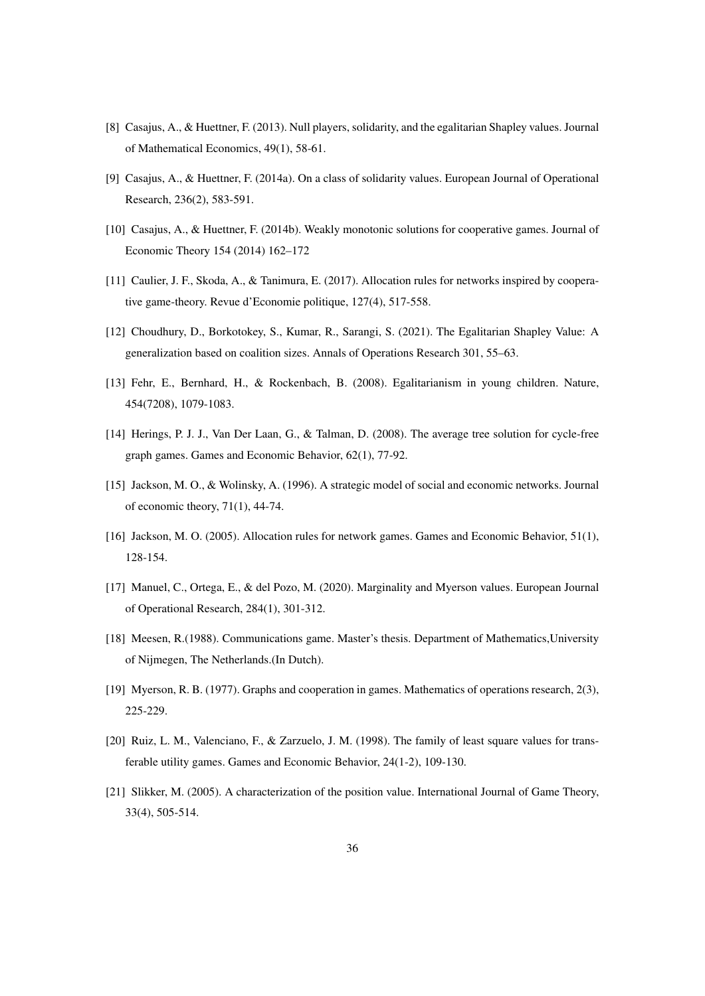- <span id="page-35-9"></span>[8] Casajus, A., & Huettner, F. (2013). Null players, solidarity, and the egalitarian Shapley values. Journal of Mathematical Economics, 49(1), 58-61.
- <span id="page-35-10"></span>[9] Casajus, A., & Huettner, F. (2014a). On a class of solidarity values. European Journal of Operational Research, 236(2), 583-591.
- <span id="page-35-12"></span>[10] Casajus, A., & Huettner, F. (2014b). Weakly monotonic solutions for cooperative games. Journal of Economic Theory 154 (2014) 162–172
- <span id="page-35-6"></span>[11] Caulier, J. F., Skoda, A., & Tanimura, E. (2017). Allocation rules for networks inspired by cooperative game-theory. Revue d'Economie politique, 127(4), 517-558.
- <span id="page-35-8"></span>[12] Choudhury, D., Borkotokey, S., Kumar, R., Sarangi, S. (2021). The Egalitarian Shapley Value: A generalization based on coalition sizes. Annals of Operations Research 301, 55–63.
- [13] Fehr, E., Bernhard, H., & Rockenbach, B. (2008). Egalitarianism in young children. Nature, 454(7208), 1079-1083.
- <span id="page-35-7"></span>[14] Herings, P. J. J., Van Der Laan, G., & Talman, D. (2008). The average tree solution for cycle-free graph games. Games and Economic Behavior, 62(1), 77-92.
- <span id="page-35-0"></span>[15] Jackson, M. O., & Wolinsky, A. (1996). A strategic model of social and economic networks. Journal of economic theory, 71(1), 44-74.
- <span id="page-35-2"></span>[16] Jackson, M. O. (2005). Allocation rules for network games. Games and Economic Behavior, 51(1), 128-154.
- <span id="page-35-5"></span>[17] Manuel, C., Ortega, E., & del Pozo, M. (2020). Marginality and Myerson values. European Journal of Operational Research, 284(1), 301-312.
- <span id="page-35-3"></span>[18] Meesen, R.(1988). Communications game. Master's thesis. Department of Mathematics,University of Nijmegen, The Netherlands.(In Dutch).
- <span id="page-35-1"></span>[19] Myerson, R. B. (1977). Graphs and cooperation in games. Mathematics of operations research, 2(3), 225-229.
- <span id="page-35-11"></span>[20] Ruiz, L. M., Valenciano, F., & Zarzuelo, J. M. (1998). The family of least square values for transferable utility games. Games and Economic Behavior, 24(1-2), 109-130.
- <span id="page-35-4"></span>[21] Slikker, M. (2005). A characterization of the position value. International Journal of Game Theory, 33(4), 505-514.